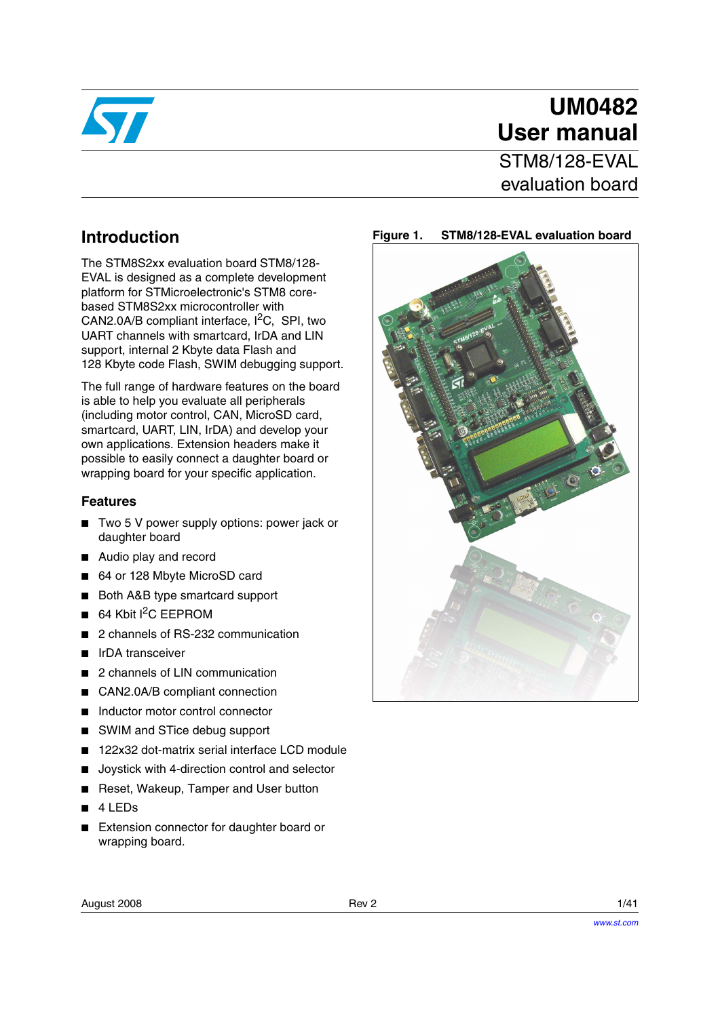

# **UM0482 User manual**

STM8/128-FVAL evaluation board

## **Introduction**

The STM8S2xx evaluation board STM8/128- EVAL is designed as a complete development platform for STMicroelectronic's STM8 corebased STM8S2xx microcontroller with CAN2.0A/B compliant interface,  $I^2C$ , SPI, two UART channels with smartcard, IrDA and LIN support, internal 2 Kbyte data Flash and 128 Kbyte code Flash, SWIM debugging support.

The full range of hardware features on the board is able to help you evaluate all peripherals (including motor control, CAN, MicroSD card, smartcard, UART, LIN, IrDA) and develop your own applications. Extension headers make it possible to easily connect a daughter board or wrapping board for your specific application.

#### **Features**

- Two 5 V power supply options: power jack or daughter board
- Audio play and record
- 64 or 128 Mbyte MicroSD card
- Both A&B type smartcard support
- $64$  Kbit I<sup>2</sup>C EEPROM
- 2 channels of RS-232 communication
- IrDA transceiver
- 2 channels of LIN communication
- CAN2.0A/B compliant connection
- Inductor motor control connector
- SWIM and STice debug support
- 122x32 dot-matrix serial interface LCD module
- Joystick with 4-direction control and selector
- Reset, Wakeup, Tamper and User button
- 4 LEDs
- **Extension connector for daughter board or** wrapping board.



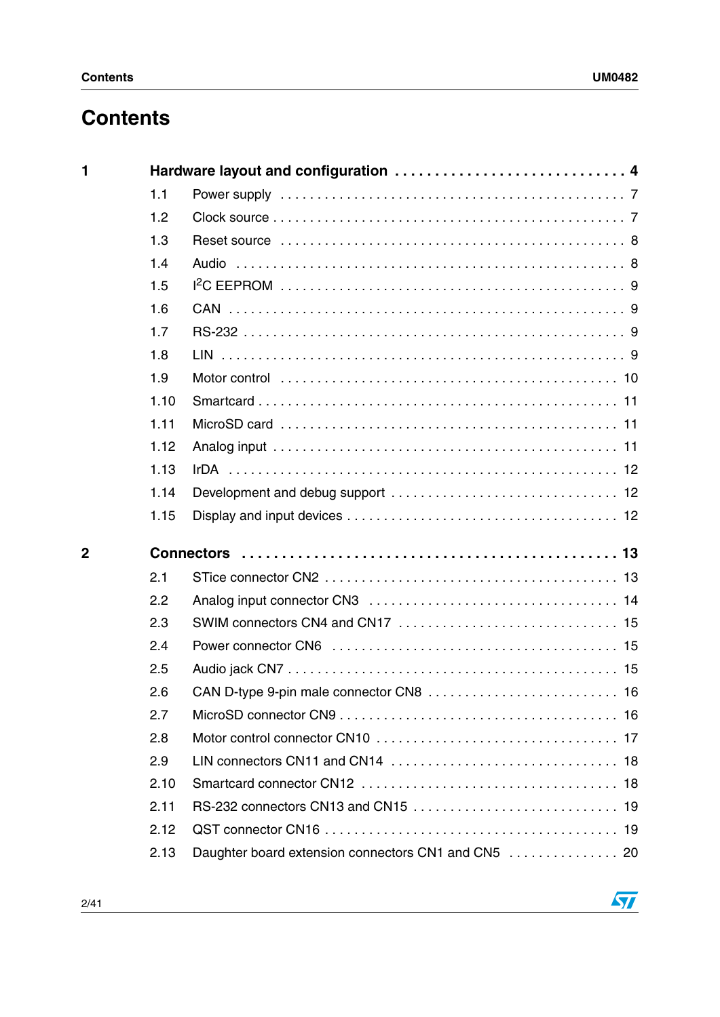# **Contents**

| $\blacksquare$ |      | Hardware layout and configuration  4 |
|----------------|------|--------------------------------------|
|                | 1.1  |                                      |
|                | 1.2  |                                      |
|                | 1.3  |                                      |
|                | 1.4  |                                      |
|                | 1.5  |                                      |
|                | 1.6  |                                      |
|                | 1.7  |                                      |
|                | 1.8  |                                      |
|                | 1.9  |                                      |
|                | 1.10 |                                      |
|                | 1.11 |                                      |
|                | 1.12 |                                      |
|                | 1.13 |                                      |
|                | 1.14 |                                      |
|                |      |                                      |
|                | 1.15 |                                      |
| $\overline{2}$ |      |                                      |
|                | 2.1  |                                      |
|                | 2.2  |                                      |
|                | 2.3  |                                      |
|                | 2.4  |                                      |
|                | 2.5  |                                      |
|                | 2.6  |                                      |
|                | 2.7  |                                      |
|                | 2.8  |                                      |
|                | 2.9  |                                      |
|                | 2.10 |                                      |
|                | 2.11 |                                      |
|                | 2.12 |                                      |

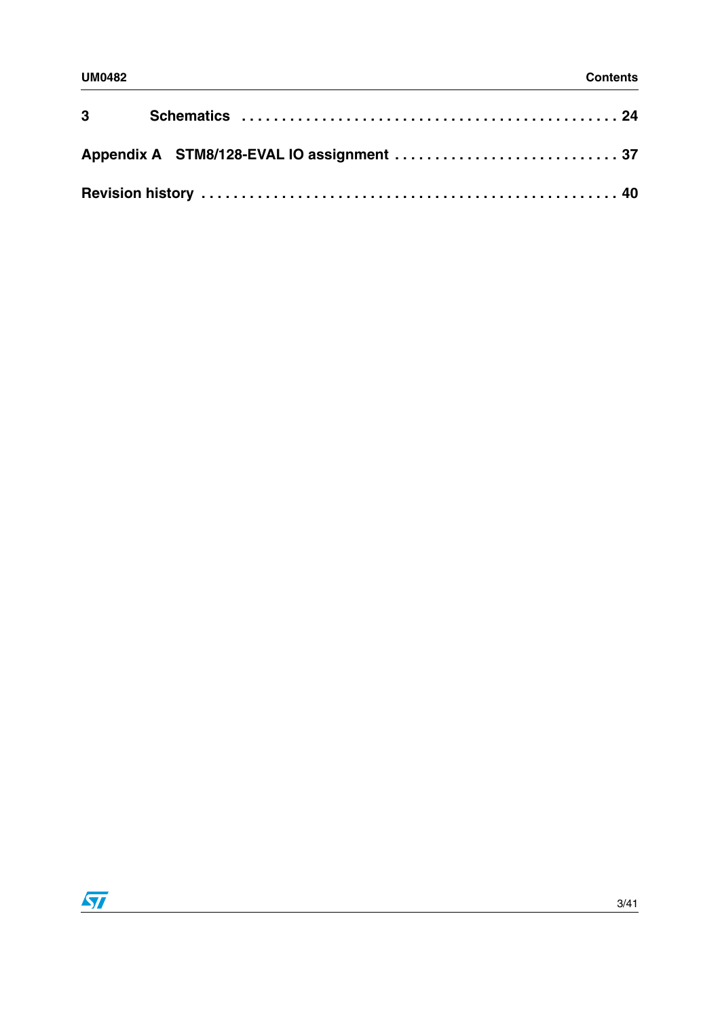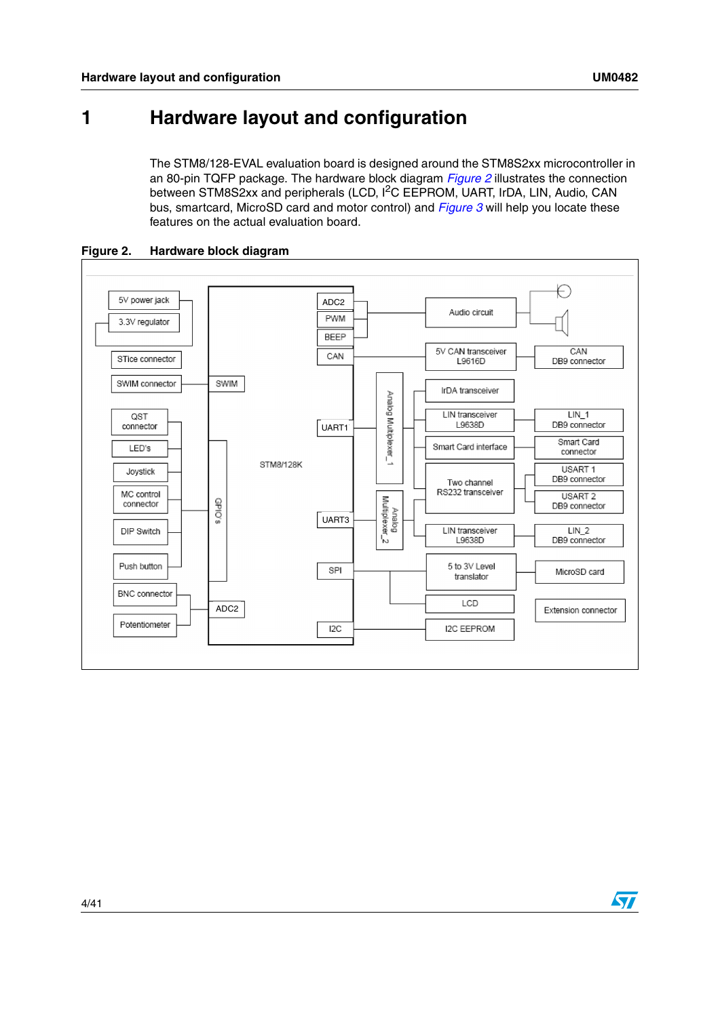# <span id="page-3-0"></span>**1 Hardware layout and configuration**

The STM8/128-EVAL evaluation board is designed around the STM8S2xx microcontroller in an 80-pin TQFP package. The hardware block diagram *[Figure 2](#page-3-1)* illustrates the connection between STM8S2xx and peripherals (LCD, <sup>12</sup>C EEPROM, UART, IrDA, LIN, Audio, CAN bus, smartcard, MicroSD card and motor control) and *[Figure 3](#page-4-0)* will help you locate these features on the actual evaluation board.



<span id="page-3-1"></span>**Figure 2. Hardware block diagram**

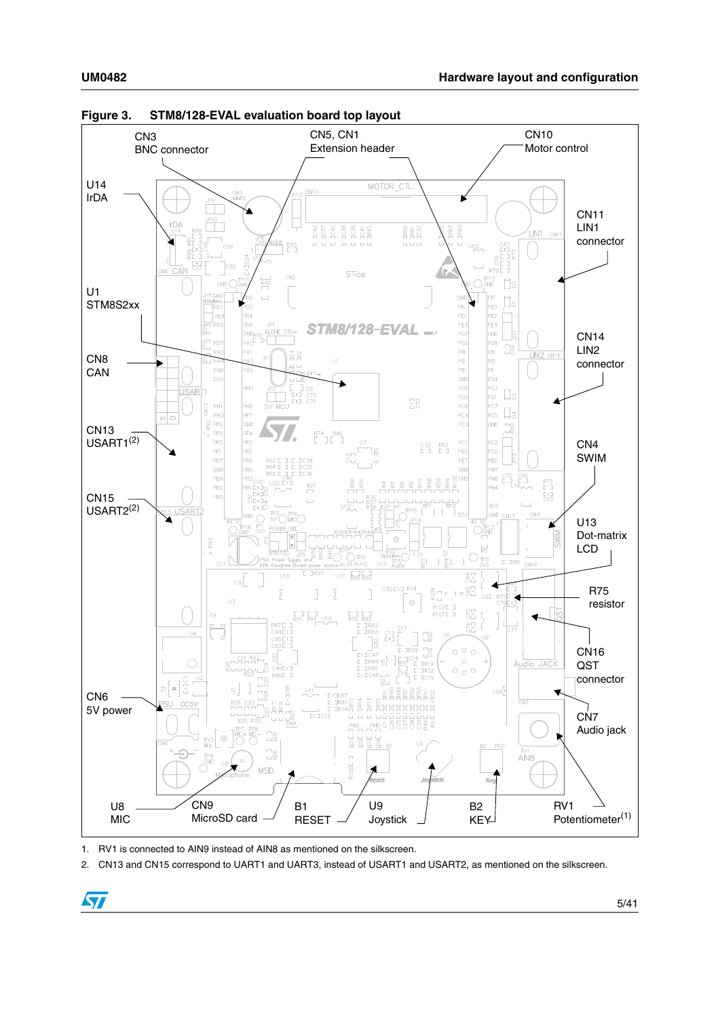

<span id="page-4-0"></span>**Figure 3. STM8/128-EVAL evaluation board top layout**

<span id="page-4-1"></span>1. RV1 is connected to AIN9 instead of AIN8 as mentioned on the silkscreen.

 $\bm \Omega$ 

<span id="page-4-2"></span>2. CN13 and CN15 correspond to UART1 and UART3, instead of USART1 and USART2, as mentioned on the silkscreen.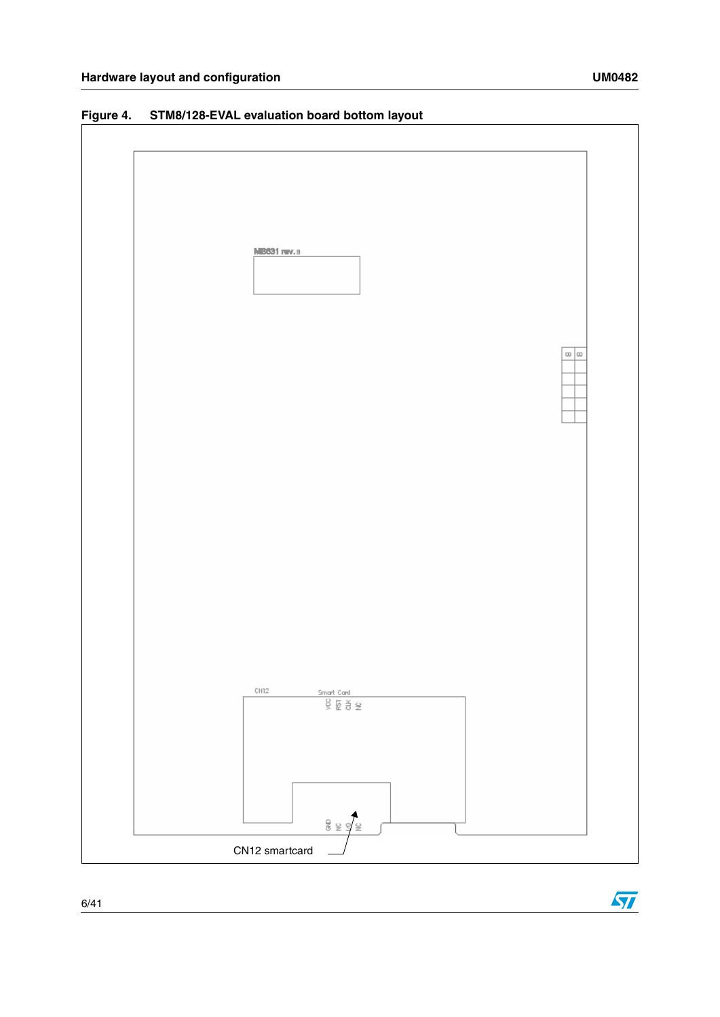

#### **Figure 4. STM8/128-EVAL evaluation board bottom layout**



 $\sqrt{2}$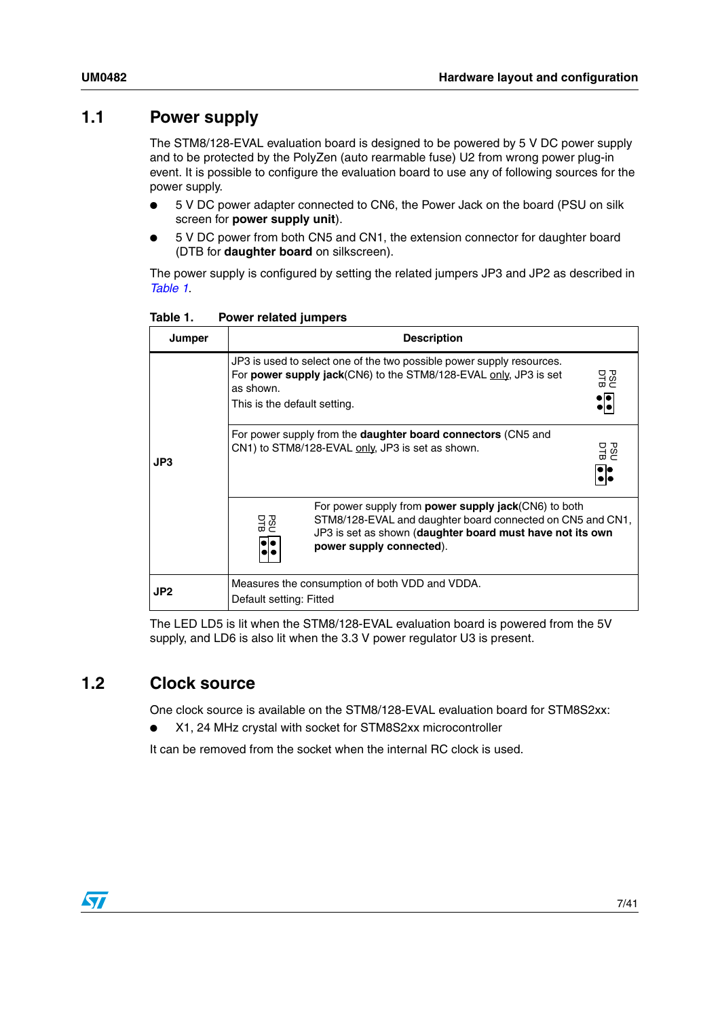#### <span id="page-6-0"></span>**1.1 Power supply**

The STM8/128-EVAL evaluation board is designed to be powered by 5 V DC power supply and to be protected by the PolyZen (auto rearmable fuse) U2 from wrong power plug-in event. It is possible to configure the evaluation board to use any of following sources for the power supply.

- 5 V DC power adapter connected to CN6, the Power Jack on the board (PSU on silk screen for **power supply unit**).
- 5 V DC power from both CN5 and CN1, the extension connector for daughter board (DTB for **daughter board** on silkscreen).

The power supply is configured by setting the related jumpers JP3 and JP2 as described in *[Table 1](#page-6-2)*.

| Jumper          | <b>Description</b>                                                                                                                                                                                                       |  |  |
|-----------------|--------------------------------------------------------------------------------------------------------------------------------------------------------------------------------------------------------------------------|--|--|
| JP3             | JP3 is used to select one of the two possible power supply resources.<br>잃<br>For <b>power supply jack</b> (CN6) to the STM8/128-EVAL only, JP3 is set<br>as shown.<br>This is the default setting.                      |  |  |
|                 | For power supply from the <b>daughter board connectors</b> (CN5 and<br>CN1) to STM8/128-EVAL only, JP3 is set as shown.<br>잃                                                                                             |  |  |
|                 | For power supply from <b>power supply jack</b> (CN6) to both<br>STM8/128-EVAL and daughter board connected on CN5 and CN1,<br>잃<br>JP3 is set as shown (daughter board must have not its own<br>power supply connected). |  |  |
| JP <sub>2</sub> | Measures the consumption of both VDD and VDDA.<br>Default setting: Fitted                                                                                                                                                |  |  |

<span id="page-6-2"></span>Table 1. **Power related jumpers** 

The LED LD5 is lit when the STM8/128-EVAL evaluation board is powered from the 5V supply, and LD6 is also lit when the 3.3 V power regulator U3 is present.

### <span id="page-6-1"></span>**1.2 Clock source**

One clock source is available on the STM8/128-EVAL evaluation board for STM8S2xx:

X1, 24 MHz crystal with socket for STM8S2xx microcontroller

It can be removed from the socket when the internal RC clock is used.

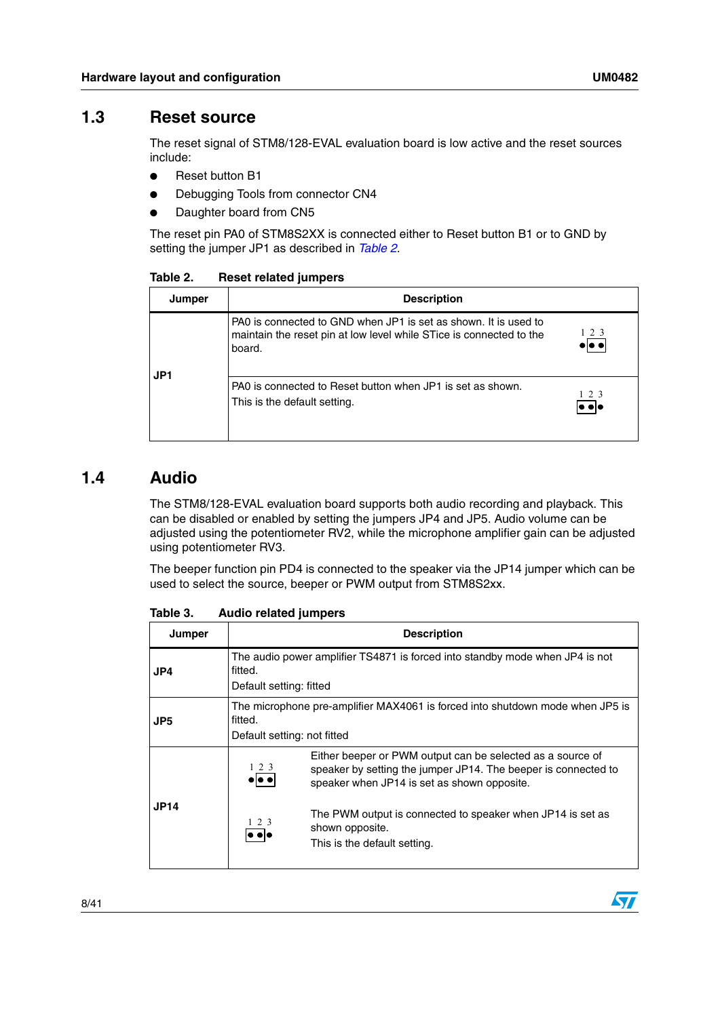#### <span id="page-7-0"></span>**1.3 Reset source**

The reset signal of STM8/128-EVAL evaluation board is low active and the reset sources include:

- Reset button B1
- Debugging Tools from connector CN4
- Daughter board from CN5

The reset pin PA0 of STM8S2XX is connected either to Reset button B1 or to GND by setting the jumper JP1 as described in *[Table 2](#page-7-2)*.

**Jumper Description** PA0 is connected to GND when JP1 is set as shown. It is used to 1 2 3 maintain the reset pin at low level while STice is connected to the  $\bullet|\bullet\bullet|$ board. **JP1** PA0 is connected to Reset button when JP1 is set as shown.  $\frac{1}{\bullet}$   $\bullet$   $\bullet$ This is the default setting.

<span id="page-7-2"></span>Table 2. **Reset related jumpers** 

#### <span id="page-7-1"></span>**1.4 Audio**

 $\mathbf I$ 

The STM8/128-EVAL evaluation board supports both audio recording and playback. This can be disabled or enabled by setting the jumpers JP4 and JP5. Audio volume can be adjusted using the potentiometer RV2, while the microphone amplifier gain can be adjusted using potentiometer RV3.

The beeper function pin PD4 is connected to the speaker via the JP14 jumper which can be used to select the source, beeper or PWM output from STM8S2xx.

| Jumper      | <b>Description</b>                                                                                                      |                                                                                                                                                                             |  |
|-------------|-------------------------------------------------------------------------------------------------------------------------|-----------------------------------------------------------------------------------------------------------------------------------------------------------------------------|--|
| JP4         | The audio power amplifier TS4871 is forced into standby mode when JP4 is not<br>fitted.<br>Default setting: fitted      |                                                                                                                                                                             |  |
| JP5         | The microphone pre-amplifier MAX4061 is forced into shutdown mode when JP5 is<br>fitted.<br>Default setting: not fitted |                                                                                                                                                                             |  |
|             | 123                                                                                                                     | Either beeper or PWM output can be selected as a source of<br>speaker by setting the jumper JP14. The beeper is connected to<br>speaker when JP14 is set as shown opposite. |  |
| <b>JP14</b> | $1\,2\,3$<br>lo olc                                                                                                     | The PWM output is connected to speaker when JP14 is set as<br>shown opposite.<br>This is the default setting.                                                               |  |

Table 3. **Audio related jumpers** 

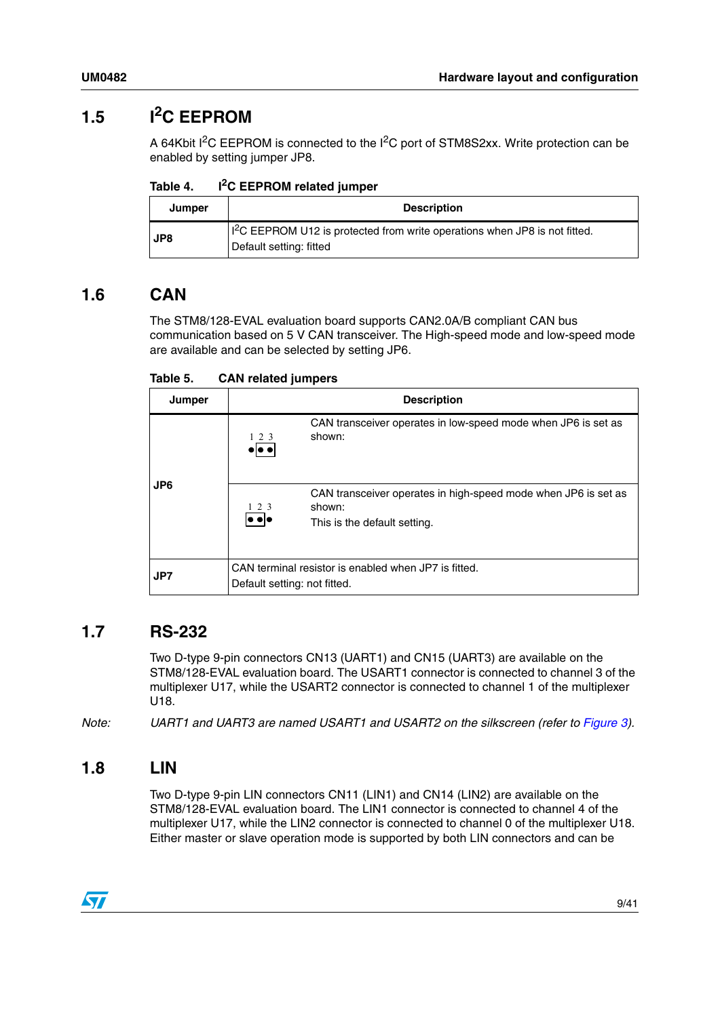# <span id="page-8-0"></span>**1.5 I2C EEPROM**

A 64Kbit I<sup>2</sup>C EEPROM is connected to the I<sup>2</sup>C port of STM8S2xx. Write protection can be enabled by setting jumper JP8.

Table 4. **I<sup>2</sup>C EEPROM related jumper** 

| Jumper | <b>Description</b>                                                                                               |
|--------|------------------------------------------------------------------------------------------------------------------|
| JP8    | $\frac{1}{2}$ C EEPROM U12 is protected from write operations when JP8 is not fitted.<br>Default setting: fitted |

### <span id="page-8-1"></span>**1.6 CAN**

The STM8/128-EVAL evaluation board supports CAN2.0A/B compliant CAN bus communication based on 5 V CAN transceiver. The High-speed mode and low-speed mode are available and can be selected by setting JP6.

Table 5. **CAN related jumpers** 

| Jumper | <b>Description</b>                                                                                                          |  |  |
|--------|-----------------------------------------------------------------------------------------------------------------------------|--|--|
| JP6    | CAN transceiver operates in low-speed mode when JP6 is set as<br>shown:<br>$1\,2\,3$<br>d e                                 |  |  |
|        | CAN transceiver operates in high-speed mode when JP6 is set as<br>shown:<br>1 2 3<br> e e e<br>This is the default setting. |  |  |
| JP7    | CAN terminal resistor is enabled when JP7 is fitted.<br>Default setting: not fitted.                                        |  |  |

### <span id="page-8-2"></span>**1.7 RS-232**

Two D-type 9-pin connectors CN13 (UART1) and CN15 (UART3) are available on the STM8/128-EVAL evaluation board. The USART1 connector is connected to channel 3 of the multiplexer U17, while the USART2 connector is connected to channel 1 of the multiplexer U18.

*Note: UART1 and UART3 are named USART1 and USART2 on the silkscreen (refer to [Figure 3\)](#page-4-0).*

### <span id="page-8-3"></span>**1.8 LIN**

Two D-type 9-pin LIN connectors CN11 (LIN1) and CN14 (LIN2) are available on the STM8/128-EVAL evaluation board. The LIN1 connector is connected to channel 4 of the multiplexer U17, while the LIN2 connector is connected to channel 0 of the multiplexer U18. Either master or slave operation mode is supported by both LIN connectors and can be

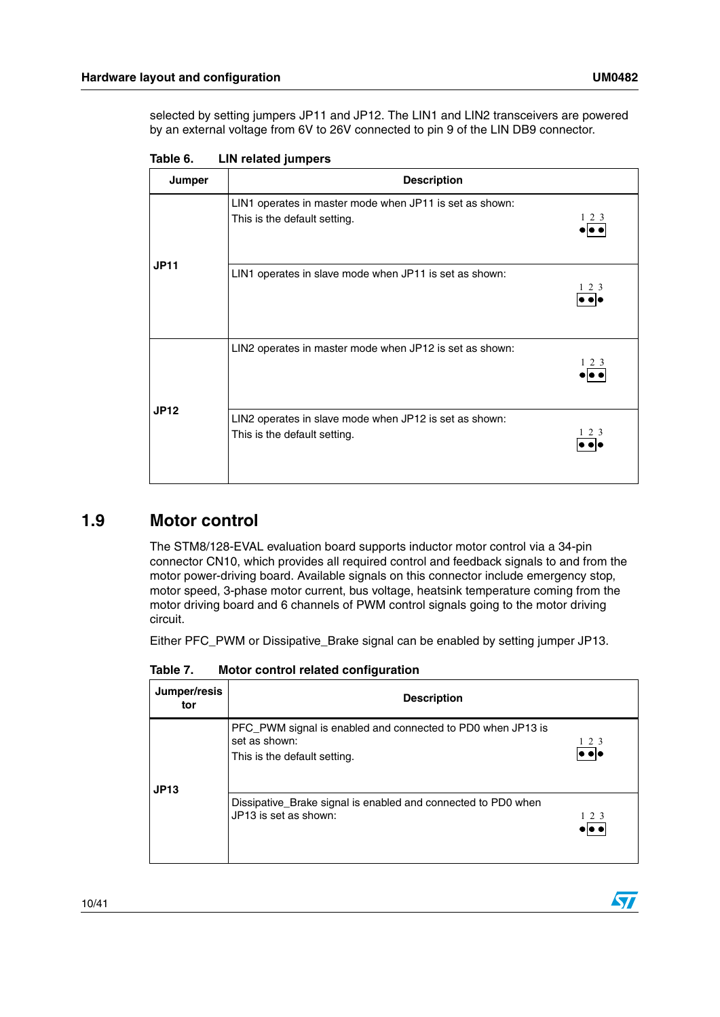selected by setting jumpers JP11 and JP12. The LIN1 and LIN2 transceivers are powered by an external voltage from 6V to 26V connected to pin 9 of the LIN DB9 connector.

| Jumper      | <b>Description</b>                                                                               |  |  |
|-------------|--------------------------------------------------------------------------------------------------|--|--|
|             | LIN1 operates in master mode when JP11 is set as shown:<br>1 2 3<br>This is the default setting. |  |  |
| <b>JP11</b> | LIN1 operates in slave mode when JP11 is set as shown:<br>$1\,2\,3$                              |  |  |
| <b>JP12</b> | LIN2 operates in master mode when JP12 is set as shown:<br>1 2 3                                 |  |  |
|             | LIN2 operates in slave mode when JP12 is set as shown:<br>123<br>This is the default setting.    |  |  |

Table 6. **LIN related jumpers** 

### <span id="page-9-0"></span>**1.9 Motor control**

The STM8/128-EVAL evaluation board supports inductor motor control via a 34-pin connector CN10, which provides all required control and feedback signals to and from the motor power-driving board. Available signals on this connector include emergency stop, motor speed, 3-phase motor current, bus voltage, heatsink temperature coming from the motor driving board and 6 channels of PWM control signals going to the motor driving circuit.

Either PFC\_PWM or Dissipative\_Brake signal can be enabled by setting jumper JP13.

**Jumper/resis tor Description** PFC\_PWM signal is enabled and connected to PD0 when JP13 is set as shown: 1 2 3  $|\bullet\bullet|\bullet$ This is the default setting. **JP13** Dissipative\_Brake signal is enabled and connected to PD0 when JP13 is set as shown: 1 2 3 $\bullet$   $\overline{\bullet}$   $\bullet$ 

Table 7. **Motor control related configuration** 

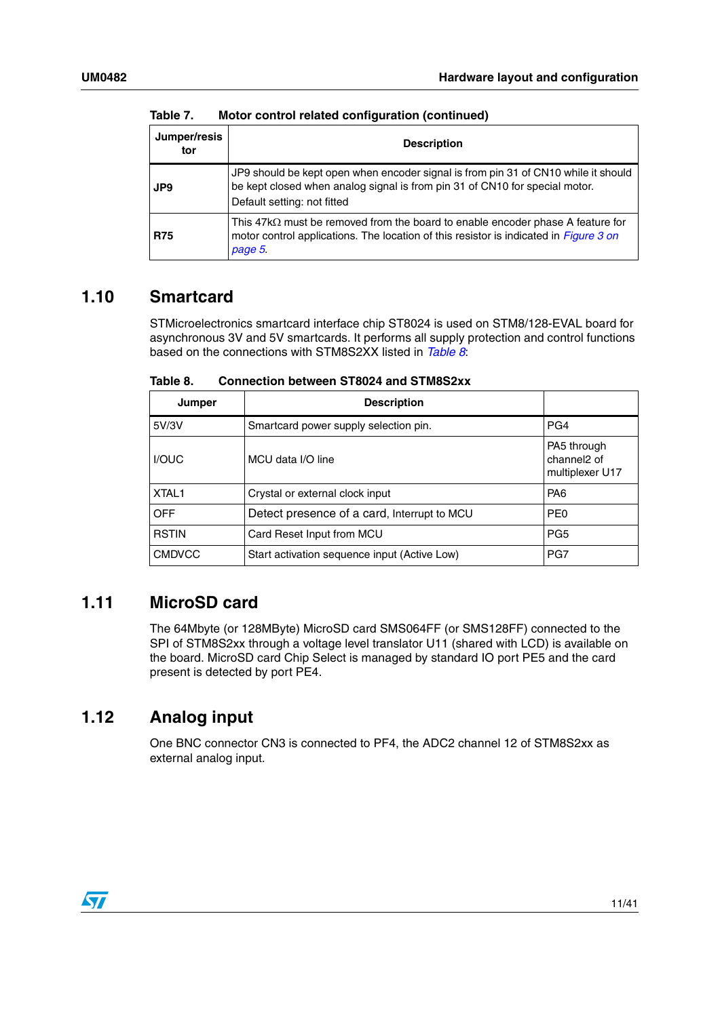| Jumper/resis<br>tor | <b>Description</b>                                                                                                                                                                               |  |  |
|---------------------|--------------------------------------------------------------------------------------------------------------------------------------------------------------------------------------------------|--|--|
| JP9                 | JP9 should be kept open when encoder signal is from pin 31 of CN10 while it should<br>be kept closed when analog signal is from pin 31 of CN10 for special motor.<br>Default setting: not fitted |  |  |
| <b>R75</b>          | This $47k\Omega$ must be removed from the board to enable encoder phase A feature for<br>motor control applications. The location of this resistor is indicated in <i>Figure 3 on</i><br>page 5. |  |  |

**Table 7. Motor control related configuration (continued)**

#### <span id="page-10-0"></span>**1.10 Smartcard**

STMicroelectronics smartcard interface chip ST8024 is used on STM8/128-EVAL board for asynchronous 3V and 5V smartcards. It performs all supply protection and control functions based on the connections with STM8S2XX listed in *[Table 8](#page-10-3)*:

| Jumper            | <b>Description</b>                           |                                                           |
|-------------------|----------------------------------------------|-----------------------------------------------------------|
| 5V/3V             | Smartcard power supply selection pin.        | PG4                                                       |
| <b>I/OUC</b>      | MCU data I/O line                            | PA5 through<br>channel <sub>2</sub> of<br>multiplexer U17 |
| XTAL <sub>1</sub> | Crystal or external clock input              | PA <sub>6</sub>                                           |
| <b>OFF</b>        | Detect presence of a card, Interrupt to MCU  | PE <sub>0</sub>                                           |
| <b>RSTIN</b>      | Card Reset Input from MCU                    | PG <sub>5</sub>                                           |
| <b>CMDVCC</b>     | Start activation sequence input (Active Low) | PG7                                                       |

<span id="page-10-3"></span>Table 8. **Connection between ST8024 and STM8S2xx** 

#### <span id="page-10-1"></span>**1.11 MicroSD card**

The 64Mbyte (or 128MByte) MicroSD card SMS064FF (or SMS128FF) connected to the SPI of STM8S2xx through a voltage level translator U11 (shared with LCD) is available on the board. MicroSD card Chip Select is managed by standard IO port PE5 and the card present is detected by port PE4.

### <span id="page-10-2"></span>**1.12 Analog input**

One BNC connector CN3 is connected to PF4, the ADC2 channel 12 of STM8S2xx as external analog input.

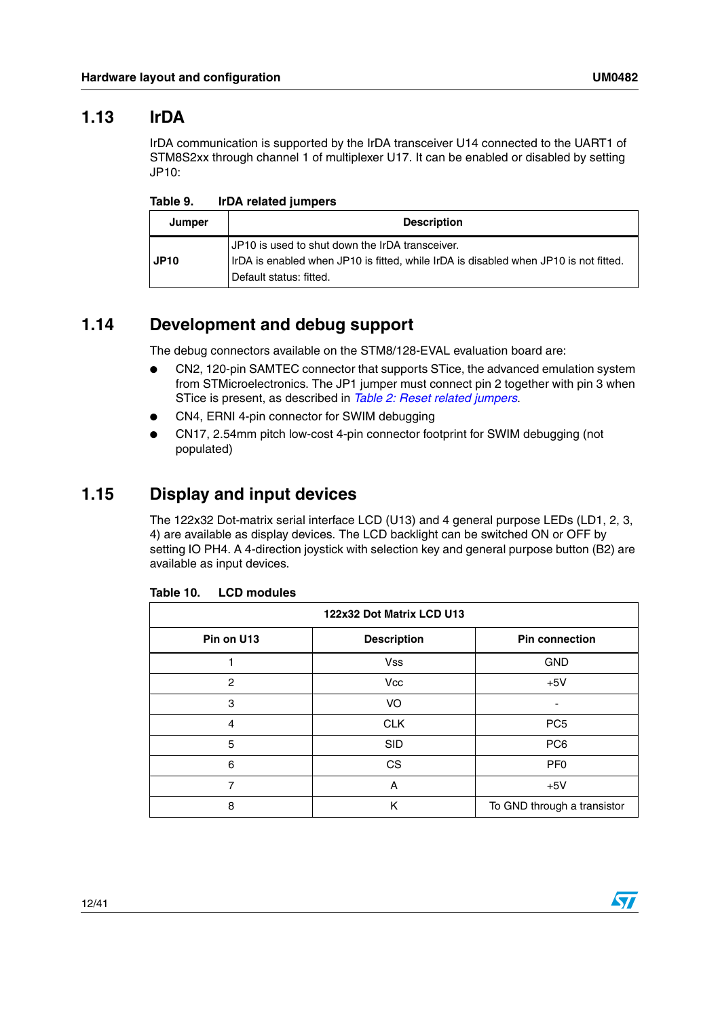#### <span id="page-11-0"></span>**1.13 IrDA**

IrDA communication is supported by the IrDA transceiver U14 connected to the UART1 of STM8S2xx through channel 1 of multiplexer U17. It can be enabled or disabled by setting JP10:

| Jumper      | <b>Description</b>                                                                                                                                                   |
|-------------|----------------------------------------------------------------------------------------------------------------------------------------------------------------------|
| <b>JP10</b> | JP10 is used to shut down the IrDA transceiver.<br>IrDA is enabled when JP10 is fitted, while IrDA is disabled when JP10 is not fitted.<br>l Default status: fitted. |

### <span id="page-11-1"></span>**1.14 Development and debug support**

The debug connectors available on the STM8/128-EVAL evaluation board are:

- CN2, 120-pin SAMTEC connector that supports STice, the advanced emulation system from STMicroelectronics. The JP1 jumper must connect pin 2 together with pin 3 when STice is present, as described in *[Table 2: Reset related jumpers](#page-7-2)*.
- CN4, ERNI 4-pin connector for SWIM debugging
- CN17, 2.54mm pitch low-cost 4-pin connector footprint for SWIM debugging (not populated)

### <span id="page-11-2"></span>**1.15 Display and input devices**

The 122x32 Dot-matrix serial interface LCD (U13) and 4 general purpose LEDs (LD1, 2, 3, 4) are available as display devices. The LCD backlight can be switched ON or OFF by setting IO PH4. A 4-direction joystick with selection key and general purpose button (B2) are available as input devices.

| 122x32 Dot Matrix LCD U13 |                    |                             |  |
|---------------------------|--------------------|-----------------------------|--|
| Pin on U13                | <b>Description</b> | <b>Pin connection</b>       |  |
|                           | <b>Vss</b>         | <b>GND</b>                  |  |
| 2                         | <b>Vcc</b>         | $+5V$                       |  |
| 3                         | VO                 |                             |  |
| 4                         | <b>CLK</b>         | PC <sub>5</sub>             |  |
| 5                         | <b>SID</b>         | PC <sub>6</sub>             |  |
| 6                         | <b>CS</b>          | PF <sub>0</sub>             |  |
| 7                         | A                  | $+5V$                       |  |
| 8                         | ĸ                  | To GND through a transistor |  |

| Table 10. | <b>LCD modules</b> |
|-----------|--------------------|
|-----------|--------------------|

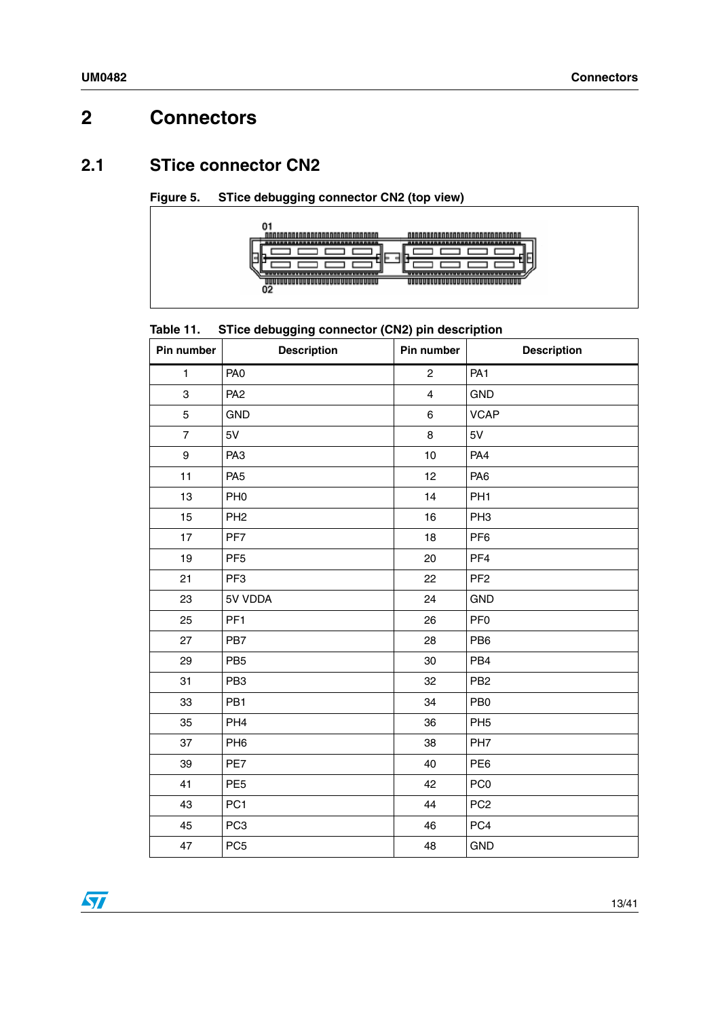# <span id="page-12-0"></span>**2 Connectors**

### <span id="page-12-1"></span>**2.1 STice connector CN2**



**Figure 5. STice debugging connector CN2 (top view)**

#### Table 11. **STice debugging connector (CN2) pin description**

| Pin number     | <b>Description</b> | Pin number     | <b>Description</b> |
|----------------|--------------------|----------------|--------------------|
| 1              | PA <sub>0</sub>    | $\overline{2}$ | PA <sub>1</sub>    |
| 3              | PA <sub>2</sub>    | $\overline{4}$ | <b>GND</b>         |
| 5              | <b>GND</b>         | 6              | <b>VCAP</b>        |
| $\overline{7}$ | 5V                 | 8              | 5V                 |
| 9              | PA <sub>3</sub>    | 10             | PA4                |
| 11             | PA <sub>5</sub>    | 12             | PA <sub>6</sub>    |
| 13             | PH <sub>0</sub>    | 14             | PH <sub>1</sub>    |
| 15             | PH <sub>2</sub>    | 16             | PH <sub>3</sub>    |
| 17             | PF7                | 18             | PF <sub>6</sub>    |
| 19             | PF <sub>5</sub>    | 20             | PF <sub>4</sub>    |
| 21             | PF <sub>3</sub>    | 22             | PF <sub>2</sub>    |
| 23             | 5V VDDA            | 24             | <b>GND</b>         |
| 25             | PF <sub>1</sub>    | 26             | PF <sub>0</sub>    |
| 27             | PB7                | 28             | PB <sub>6</sub>    |
| 29             | PB <sub>5</sub>    | 30             | PB4                |
| 31             | PB <sub>3</sub>    | 32             | PB <sub>2</sub>    |
| 33             | PB1                | 34             | PB <sub>0</sub>    |
| 35             | PH <sub>4</sub>    | 36             | PH <sub>5</sub>    |
| 37             | PH <sub>6</sub>    | 38             | PH <sub>7</sub>    |
| 39             | PE7                | 40             | PE <sub>6</sub>    |
| 41             | PE <sub>5</sub>    | 42             | PC <sub>0</sub>    |
| 43             | PC <sub>1</sub>    | 44             | PC <sub>2</sub>    |
| 45             | PC <sub>3</sub>    | 46             | PC4                |
| 47             | PC <sub>5</sub>    | 48             | <b>GND</b>         |

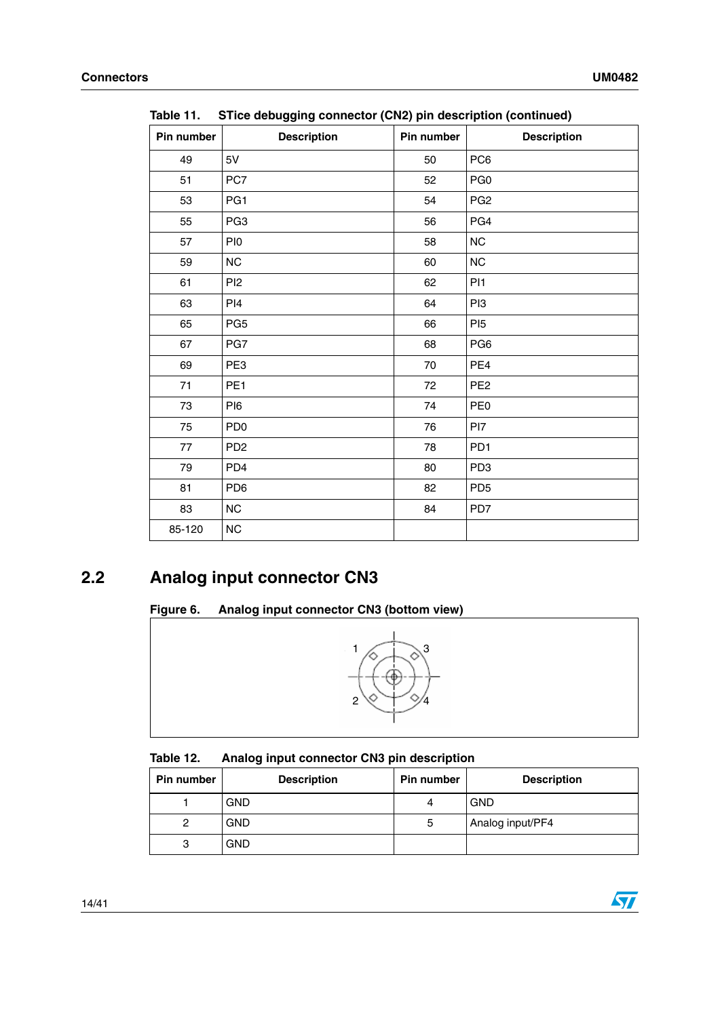| Pin number | <b>Description</b> | .<br>Pin number | <b>Description</b> |
|------------|--------------------|-----------------|--------------------|
| 49         | 5V                 | 50              | PC6                |
| 51         | PC7                | 52              | PG <sub>0</sub>    |
| 53         | PG1                | 54              | PG <sub>2</sub>    |
| 55         | PG <sub>3</sub>    | 56              | PG4                |
| 57         | PI <sub>0</sub>    | 58              | $NC$               |
| 59         | NC                 | 60              | $NC$               |
| 61         | PI <sub>2</sub>    | 62              | PI <sub>1</sub>    |
| 63         | PI4                | 64              | PI3                |
| 65         | PG <sub>5</sub>    | 66              | PI <sub>5</sub>    |
| 67         | PG7                | 68              | PG6                |
| 69         | PE3                | 70              | PE4                |
| 71         | PE <sub>1</sub>    | 72              | PE <sub>2</sub>    |
| 73         | PI6                | 74              | PE <sub>0</sub>    |
| 75         | PD <sub>0</sub>    | 76              | PI7                |
| 77         | PD <sub>2</sub>    | 78              | PD <sub>1</sub>    |
| 79         | PD <sub>4</sub>    | 80              | PD <sub>3</sub>    |
| 81         | PD <sub>6</sub>    | 82              | PD <sub>5</sub>    |
| 83         | NC                 | 84              | PD7                |
| 85-120     | $NC$               |                 |                    |

**Table 11. STice debugging connector (CN2) pin description (continued)**

## <span id="page-13-0"></span>**2.2 Analog input connector CN3**

## **Figure 6. Analog input connector CN3 (bottom view)**



| Table 12. | Analog input connector CN3 pin description |  |  |  |
|-----------|--------------------------------------------|--|--|--|
|-----------|--------------------------------------------|--|--|--|

| <b>Pin number</b> | <b>Description</b> | Pin number | <b>Description</b> |
|-------------------|--------------------|------------|--------------------|
|                   | GND                | 4          | <b>GND</b>         |
|                   | GND                | b          | Analog input/PF4   |
| 3                 | GND                |            |                    |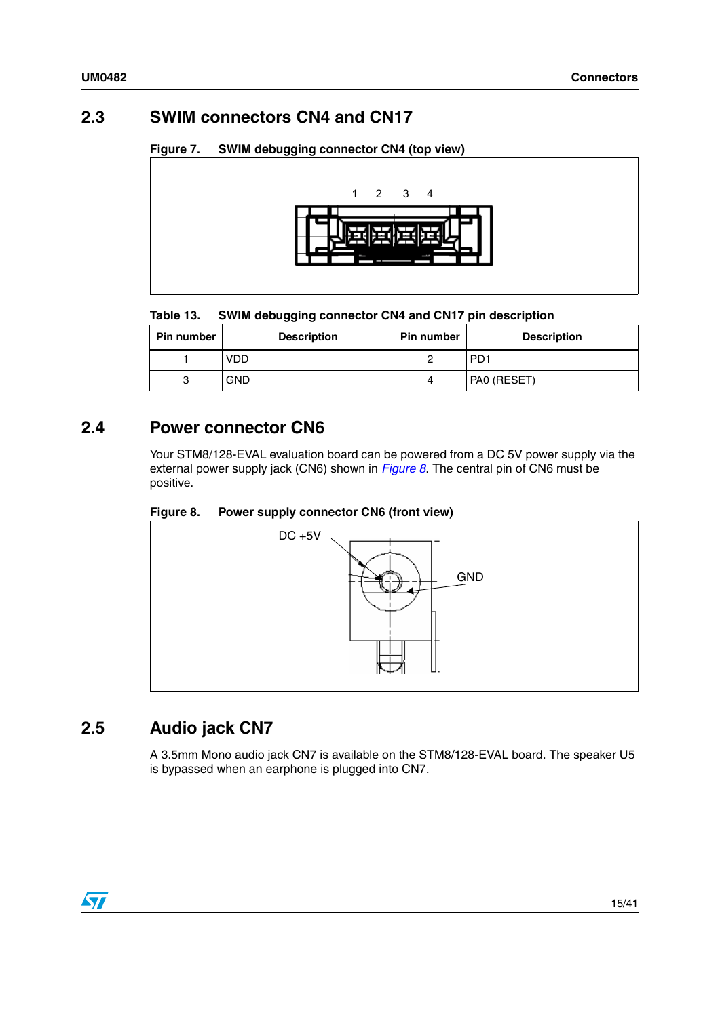### <span id="page-14-0"></span>**2.3 SWIM connectors CN4 and CN17**

#### **Figure 7. SWIM debugging connector CN4 (top view)**



#### Table 13. **SWIM debugging connector CN4 and CN17 pin description**

| <b>Pin number</b> | <b>Description</b> | <b>Pin number</b> | <b>Description</b> |
|-------------------|--------------------|-------------------|--------------------|
|                   | VDD                |                   | PD <sub>1</sub>    |
| 3                 | <b>GND</b>         | Δ                 | PAO (RESET)        |

### <span id="page-14-1"></span>**2.4 Power connector CN6**

Your STM8/128-EVAL evaluation board can be powered from a DC 5V power supply via the external power supply jack (CN6) shown in *[Figure 8](#page-14-3)*. The central pin of CN6 must be positive.

<span id="page-14-3"></span>



## <span id="page-14-2"></span>**2.5 Audio jack CN7**

A 3.5mm Mono audio jack CN7 is available on the STM8/128-EVAL board. The speaker U5 is bypassed when an earphone is plugged into CN7.

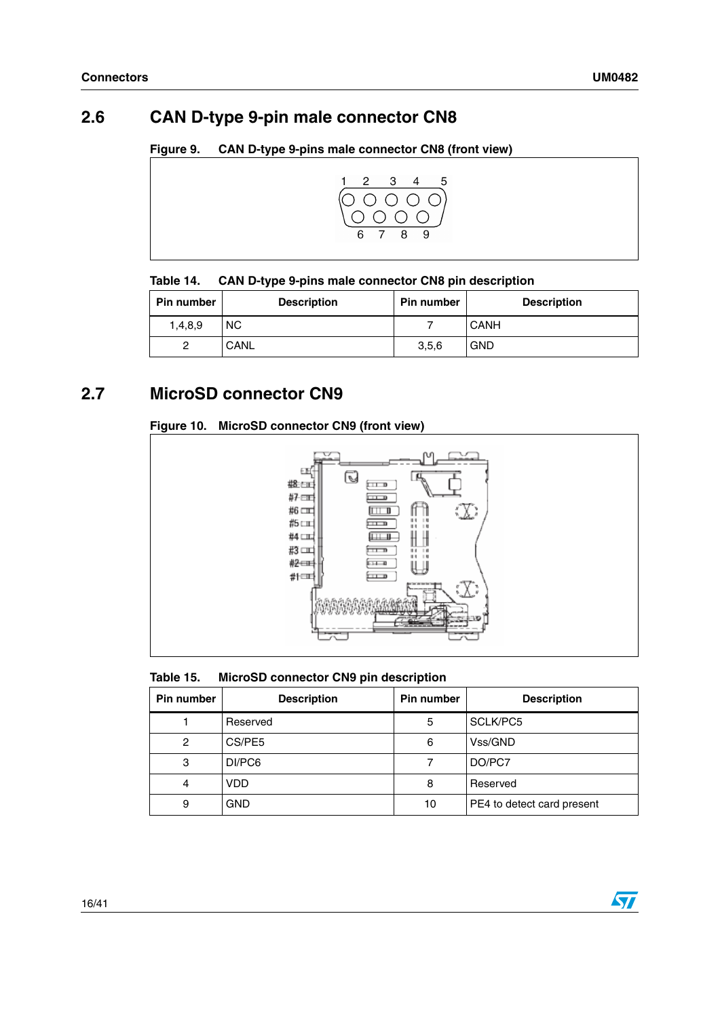## <span id="page-15-0"></span>**2.6 CAN D-type 9-pin male connector CN8**

| Figure 9. | <b>CAN D-type 9-pins male connector CN8 (front view)</b> |  |
|-----------|----------------------------------------------------------|--|
|           |                                                          |  |



#### Table 14. **Table 14. CAN D-type 9-pins male connector CN8 pin description**

| <b>Pin number</b> | <b>Description</b> | <b>Pin number</b> | <b>Description</b> |
|-------------------|--------------------|-------------------|--------------------|
| 1,4,8,9           | <b>NC</b>          |                   | <b>CANH</b>        |
|                   | CANL               | 3,5,6             | <b>GND</b>         |

## <span id="page-15-1"></span>**2.7 MicroSD connector CN9**

#### **Figure 10. MicroSD connector CN9 (front view)**



#### Table 15. **MicroSD connector CN9 pin description**

| <b>Pin number</b> | <b>Description</b> | Pin number | <b>Description</b>         |
|-------------------|--------------------|------------|----------------------------|
|                   | Reserved           | 5          | SCLK/PC5                   |
| 2                 | CS/PE5             | 6          | Vss/GND                    |
| 3                 | DI/PC6             |            | DO/PC7                     |
| 4                 | <b>VDD</b>         | 8          | Reserved                   |
| 9                 | <b>GND</b>         | 10         | PE4 to detect card present |

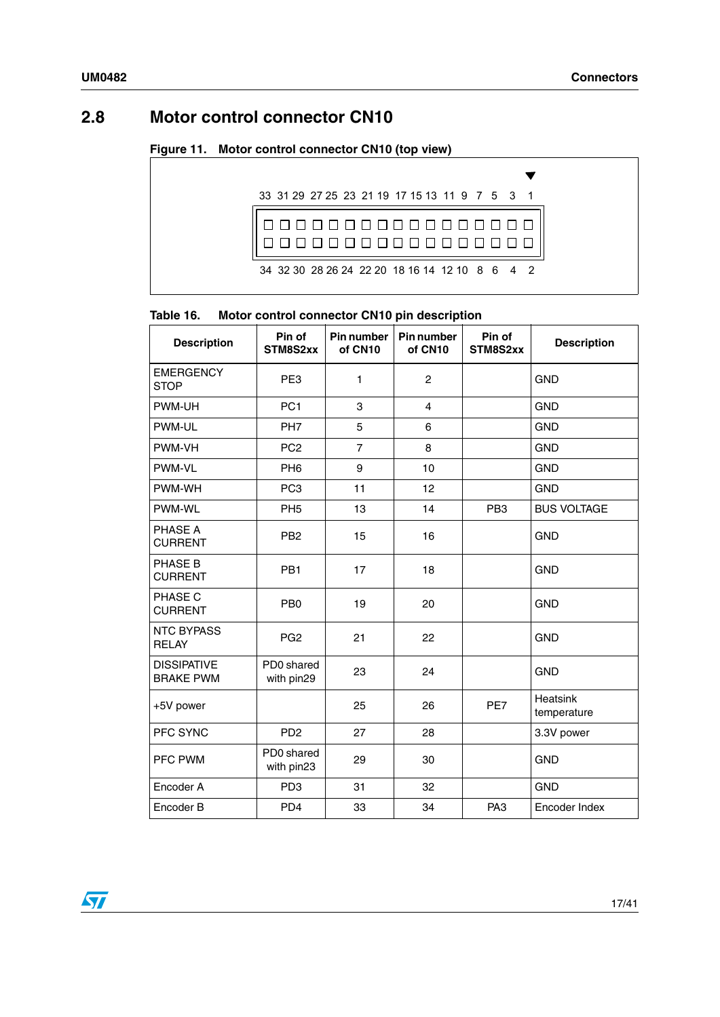## <span id="page-16-0"></span>**2.8 Motor control connector CN10**

#### **Figure 11. Motor control connector CN10 (top view)**



#### **Table 16. Motor control connector CN10 pin description**

| <b>Description</b>                     | Pin of<br>STM8S2xx       | Pin number<br>of CN10 | Pin number<br>of CN10 | Pin of<br>STM8S2xx | <b>Description</b>      |
|----------------------------------------|--------------------------|-----------------------|-----------------------|--------------------|-------------------------|
| <b>EMERGENCY</b><br><b>STOP</b>        | PE <sub>3</sub>          | 1                     | $\mathbf{2}$          |                    | <b>GND</b>              |
| PWM-UH                                 | PC <sub>1</sub>          | 3                     | 4                     |                    | <b>GND</b>              |
| PWM-UL                                 | PH <sub>7</sub>          | 5                     | 6                     |                    | <b>GND</b>              |
| PWM-VH                                 | PC <sub>2</sub>          | $\overline{7}$        | 8                     |                    | <b>GND</b>              |
| PWM-VL                                 | PH <sub>6</sub>          | 9                     | 10                    |                    | <b>GND</b>              |
| PWM-WH                                 | PC <sub>3</sub>          | 11                    | 12                    |                    | <b>GND</b>              |
| PWM-WL                                 | PH <sub>5</sub>          | 13                    | 14                    | PB <sub>3</sub>    | <b>BUS VOLTAGE</b>      |
| PHASE A<br><b>CURRENT</b>              | PB <sub>2</sub>          | 15                    | 16                    |                    | <b>GND</b>              |
| PHASE B<br><b>CURRENT</b>              | PB <sub>1</sub>          | 17                    | 18                    |                    | <b>GND</b>              |
| PHASE C<br><b>CURRENT</b>              | PB <sub>0</sub>          | 19                    | 20                    |                    | <b>GND</b>              |
| <b>NTC BYPASS</b><br><b>RELAY</b>      | PG <sub>2</sub>          | 21                    | 22                    |                    | <b>GND</b>              |
| <b>DISSIPATIVE</b><br><b>BRAKE PWM</b> | PD0 shared<br>with pin29 | 23                    | 24                    |                    | <b>GND</b>              |
| +5V power                              |                          | 25                    | 26                    | PE7                | Heatsink<br>temperature |
| PFC SYNC                               | PD <sub>2</sub>          | 27                    | 28                    |                    | 3.3V power              |
| PFC PWM                                | PD0 shared<br>with pin23 | 29                    | 30                    |                    | <b>GND</b>              |
| Encoder A                              | PD <sub>3</sub>          | 31                    | 32                    |                    | <b>GND</b>              |
| Encoder B                              | PD <sub>4</sub>          | 33                    | 34                    | PA <sub>3</sub>    | Encoder Index           |

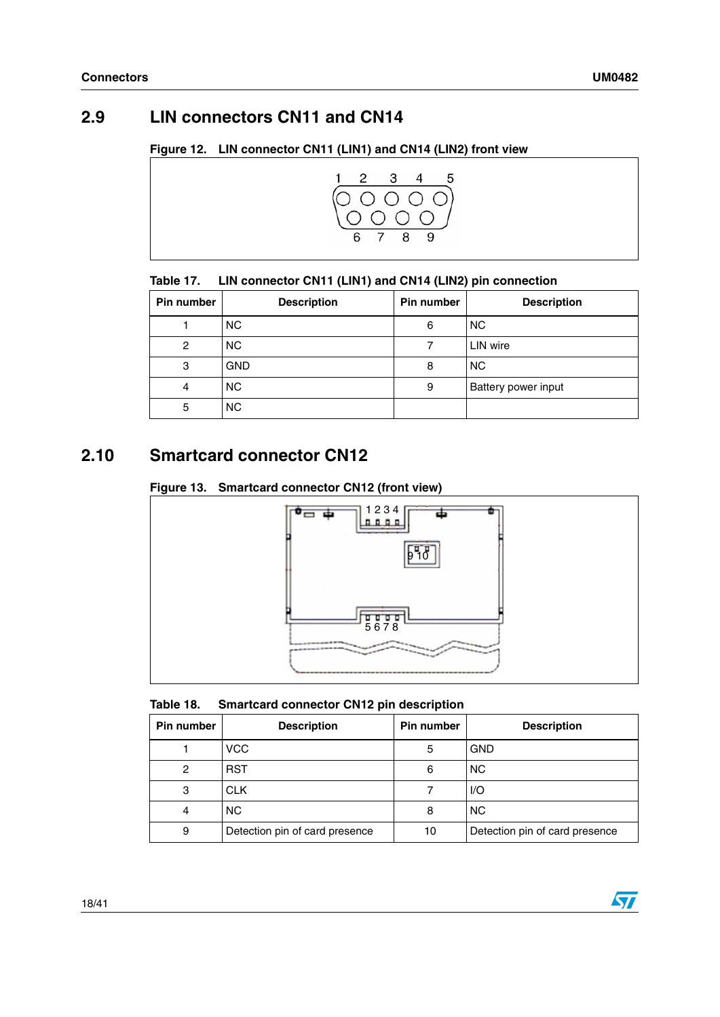## <span id="page-17-0"></span>**2.9 LIN connectors CN11 and CN14**

#### **Figure 12. LIN connector CN11 (LIN1) and CN14 (LIN2) front view**



#### Table 17. LIN connector CN11 (LIN1) and CN14 (LIN2) pin connection

| <b>Pin number</b> | <b>Description</b> | Pin number | <b>Description</b>  |
|-------------------|--------------------|------------|---------------------|
|                   | <b>NC</b>          | 6          | <b>NC</b>           |
| $\overline{c}$    | <b>NC</b>          |            | LIN wire            |
| 3                 | <b>GND</b>         | 8          | <b>NC</b>           |
| 4                 | <b>NC</b>          | 9          | Battery power input |
| 5                 | <b>NC</b>          |            |                     |

## <span id="page-17-1"></span>**2.10 Smartcard connector CN12**

#### **Figure 13. Smartcard connector CN12 (front view)**



| Table 18. |  | <b>Smartcard connector CN12 pin description</b> |  |  |  |
|-----------|--|-------------------------------------------------|--|--|--|
|-----------|--|-------------------------------------------------|--|--|--|

| Pin number | <b>Description</b>             | Pin number | <b>Description</b>             |
|------------|--------------------------------|------------|--------------------------------|
|            | <b>VCC</b>                     | 5          | <b>GND</b>                     |
| 2          | <b>RST</b>                     | 6          | <b>NC</b>                      |
| 3          | <b>CLK</b>                     |            | $l/O$                          |
| 4          | <b>NC</b>                      | 8          | <b>NC</b>                      |
| 9          | Detection pin of card presence | 10         | Detection pin of card presence |

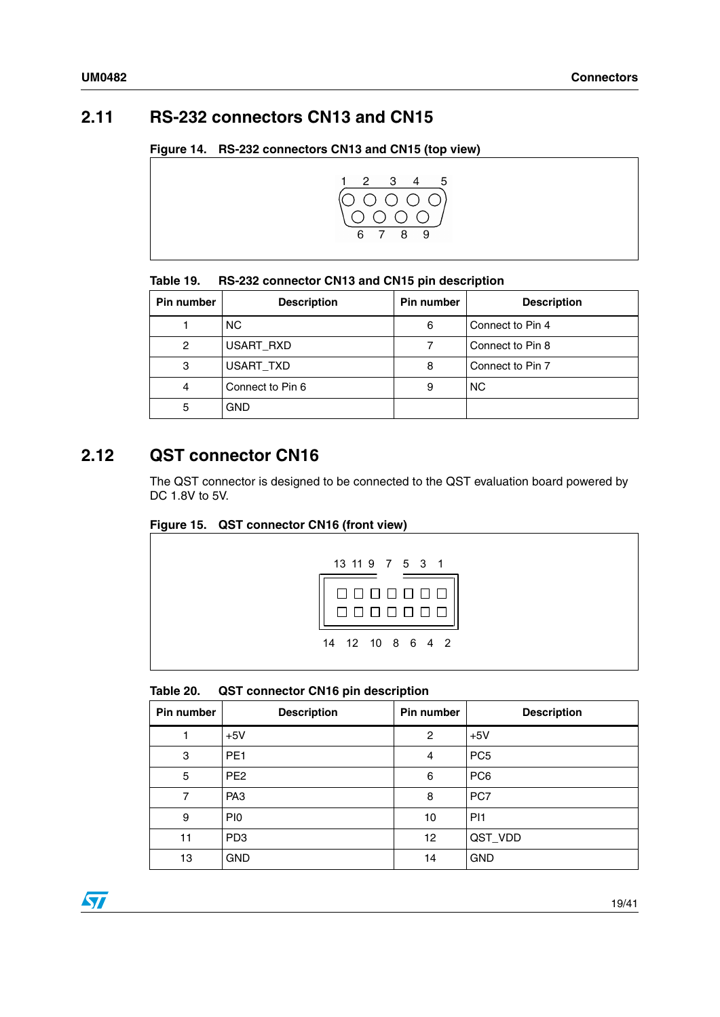## <span id="page-18-0"></span>**2.11 RS-232 connectors CN13 and CN15**

#### **Figure 14. RS-232 connectors CN13 and CN15 (top view)**



#### Table 19. **Table 19. RS-232 connector CN13 and CN15 pin description**

| Pin number | <b>Description</b> | Pin number | <b>Description</b> |
|------------|--------------------|------------|--------------------|
|            | <b>NC</b>          | 6          | Connect to Pin 4   |
| 2          | USART RXD          |            | Connect to Pin 8   |
| 3          | USART TXD          | 8          | Connect to Pin 7   |
| 4          | Connect to Pin 6   | 9          | <b>NC</b>          |
| 5          | <b>GND</b>         |            |                    |

#### <span id="page-18-1"></span>**2.12 QST connector CN16**

The QST connector is designed to be connected to the QST evaluation board powered by DC 1.8V to 5V.

#### **Figure 15. QST connector CN16 (front view)**



Table 20. **QST connector CN16 pin description** 

| Pin number | <b>Description</b> | Pin number     | <b>Description</b> |
|------------|--------------------|----------------|--------------------|
|            | $+5V$              | $\overline{2}$ | $+5V$              |
| 3          | PE <sub>1</sub>    | 4              | PC <sub>5</sub>    |
| 5          | PE <sub>2</sub>    | 6              | PC <sub>6</sub>    |
| 7          | PA <sub>3</sub>    | 8              | PC7                |
| 9          | P <sub>I0</sub>    | 10             | PI1                |
| 11         | PD <sub>3</sub>    | 12             | QST_VDD            |
| 13         | <b>GND</b>         | 14             | <b>GND</b>         |

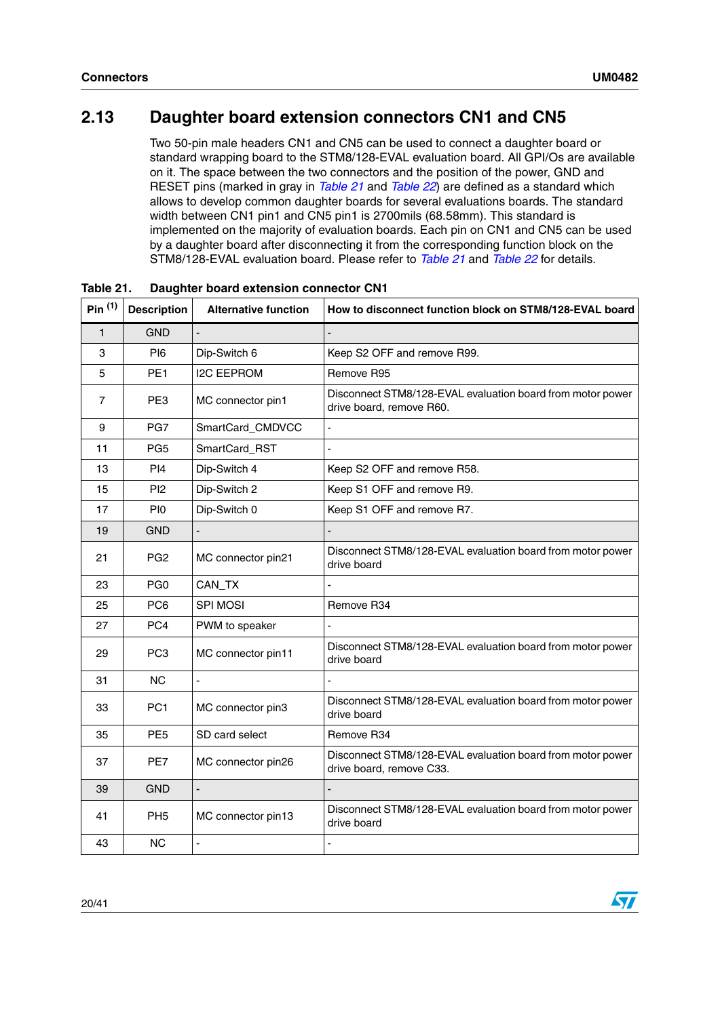## <span id="page-19-0"></span>**2.13 Daughter board extension connectors CN1 and CN5**

Two 50-pin male headers CN1 and CN5 can be used to connect a daughter board or standard wrapping board to the STM8/128-EVAL evaluation board. All GPI/Os are available on it. The space between the two connectors and the position of the power, GND and RESET pins (marked in gray in *[Table 21](#page-19-1)* and *[Table 22](#page-21-0)*) are defined as a standard which allows to develop common daughter boards for several evaluations boards. The standard width between CN1 pin1 and CN5 pin1 is 2700mils (68.58mm). This standard is implemented on the majority of evaluation boards. Each pin on CN1 and CN5 can be used by a daughter board after disconnecting it from the corresponding function block on the STM8/128-EVAL evaluation board. Please refer to *[Table 21](#page-19-1)* and *[Table 22](#page-21-0)* for details.

| Pin <sup>(1)</sup> | <b>Description</b> | <b>Alternative function</b> | How to disconnect function block on STM8/128-EVAL board                                |
|--------------------|--------------------|-----------------------------|----------------------------------------------------------------------------------------|
| $\mathbf{1}$       | <b>GND</b>         |                             |                                                                                        |
| 3                  | <b>PI6</b>         | Dip-Switch 6                | Keep S2 OFF and remove R99.                                                            |
| 5                  | PE <sub>1</sub>    | <b>I2C EEPROM</b>           | Remove R95                                                                             |
| 7                  | PE3                | MC connector pin1           | Disconnect STM8/128-EVAL evaluation board from motor power<br>drive board, remove R60. |
| 9                  | PG7                | SmartCard_CMDVCC            |                                                                                        |
| 11                 | PG <sub>5</sub>    | SmartCard_RST               |                                                                                        |
| 13                 | PI4                | Dip-Switch 4                | Keep S2 OFF and remove R58.                                                            |
| 15                 | P <sub>12</sub>    | Dip-Switch 2                | Keep S1 OFF and remove R9.                                                             |
| 17                 | PI <sub>0</sub>    | Dip-Switch 0                | Keep S1 OFF and remove R7.                                                             |
| 19                 | <b>GND</b>         |                             |                                                                                        |
| 21                 | PG <sub>2</sub>    | MC connector pin21          | Disconnect STM8/128-EVAL evaluation board from motor power<br>drive board              |
| 23                 | PG <sub>0</sub>    | CAN_TX                      |                                                                                        |
| 25                 | PC <sub>6</sub>    | <b>SPI MOSI</b>             | Remove R34                                                                             |
| 27                 | PC4                | PWM to speaker              |                                                                                        |
| 29                 | PC <sub>3</sub>    | MC connector pin11          | Disconnect STM8/128-EVAL evaluation board from motor power<br>drive board              |
| 31                 | <b>NC</b>          |                             |                                                                                        |
| 33                 | PC <sub>1</sub>    | MC connector pin3           | Disconnect STM8/128-EVAL evaluation board from motor power<br>drive board              |
| 35                 | PE <sub>5</sub>    | SD card select              | Remove R34                                                                             |
| 37                 | PE7                | MC connector pin26          | Disconnect STM8/128-EVAL evaluation board from motor power<br>drive board, remove C33. |
| 39                 | <b>GND</b>         | $\blacksquare$              |                                                                                        |
| 41                 | PH <sub>5</sub>    | MC connector pin13          | Disconnect STM8/128-EVAL evaluation board from motor power<br>drive board              |
| 43                 | <b>NC</b>          |                             |                                                                                        |

<span id="page-19-1"></span>**Table 21. Daughter board extension connector CN1**

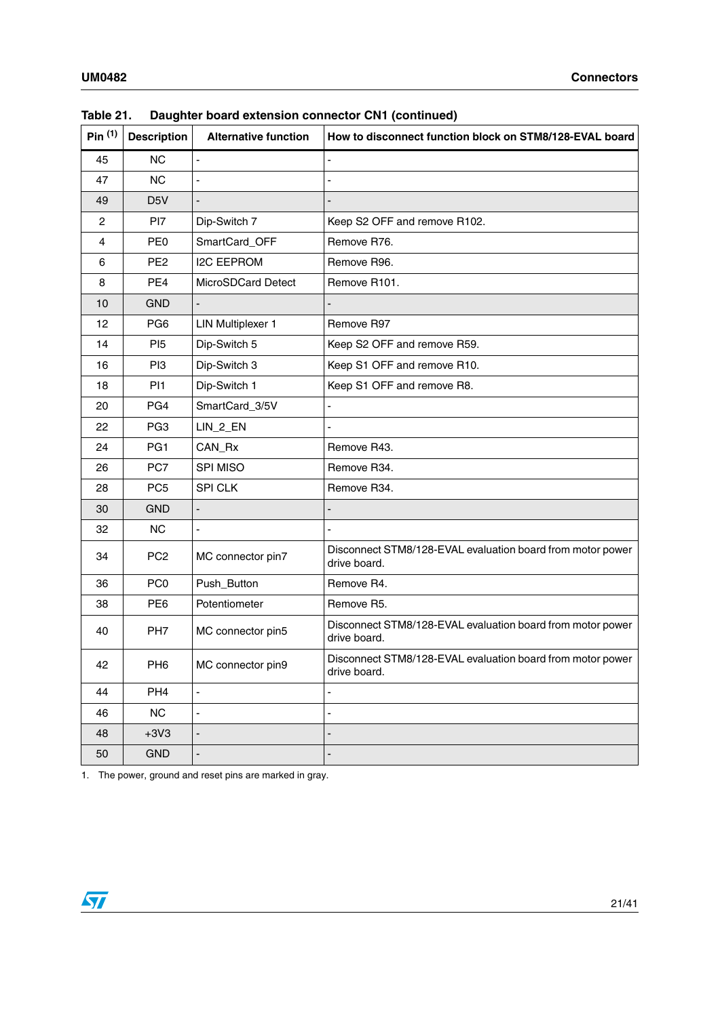| Pin <sup>(1)</sup> | <b>Description</b> | <b>Alternative function</b> | How to disconnect function block on STM8/128-EVAL board                    |
|--------------------|--------------------|-----------------------------|----------------------------------------------------------------------------|
| 45                 | <b>NC</b>          |                             |                                                                            |
| 47                 | <b>NC</b>          |                             |                                                                            |
| 49                 | D <sub>5</sub> V   |                             |                                                                            |
| $\overline{c}$     | P <sub>17</sub>    | Dip-Switch 7                | Keep S2 OFF and remove R102.                                               |
| 4                  | PE <sub>0</sub>    | SmartCard_OFF               | Remove R76.                                                                |
| 6                  | PE <sub>2</sub>    | <b>I2C EEPROM</b>           | Remove R96.                                                                |
| 8                  | PE4                | MicroSDCard Detect          | Remove R101.                                                               |
| 10                 | <b>GND</b>         |                             |                                                                            |
| 12                 | PG <sub>6</sub>    | <b>LIN Multiplexer 1</b>    | Remove R97                                                                 |
| 14                 | P <sub>15</sub>    | Dip-Switch 5                | Keep S2 OFF and remove R59.                                                |
| 16                 | PI <sub>3</sub>    | Dip-Switch 3                | Keep S1 OFF and remove R10.                                                |
| 18                 | PI <sub>1</sub>    | Dip-Switch 1                | Keep S1 OFF and remove R8.                                                 |
| 20                 | PG4                | SmartCard_3/5V              |                                                                            |
| 22                 | PG <sub>3</sub>    | $LIN_2$ _EN                 |                                                                            |
| 24                 | PG1                | CAN_Rx                      | Remove R43.                                                                |
| 26                 | PC7                | SPI MISO                    | Remove R34.                                                                |
| 28                 | PC <sub>5</sub>    | <b>SPI CLK</b>              | Remove R34.                                                                |
| 30                 | <b>GND</b>         | $\blacksquare$              |                                                                            |
| 32                 | <b>NC</b>          |                             |                                                                            |
| 34                 | PC <sub>2</sub>    | MC connector pin7           | Disconnect STM8/128-EVAL evaluation board from motor power<br>drive board. |
| 36                 | PC <sub>0</sub>    | Push_Button                 | Remove R4.                                                                 |
| 38                 | PE <sub>6</sub>    | Potentiometer               | Remove R5.                                                                 |
| 40                 | PH <sub>7</sub>    | MC connector pin5           | Disconnect STM8/128-EVAL evaluation board from motor power<br>drive board. |
| 42                 | PH <sub>6</sub>    | MC connector pin9           | Disconnect STM8/128-EVAL evaluation board from motor power<br>drive board. |
| 44                 | PH <sub>4</sub>    | $\blacksquare$              | $\blacksquare$                                                             |
| 46                 | NC                 |                             |                                                                            |
| 48                 | $+3V3$             | $\overline{\phantom{a}}$    |                                                                            |
| 50                 | <b>GND</b>         | $\overline{\phantom{a}}$    |                                                                            |

| Table 21. | Daughter board extension connector CN1 (continued) |  |  |
|-----------|----------------------------------------------------|--|--|
|-----------|----------------------------------------------------|--|--|

1. The power, ground and reset pins are marked in gray.

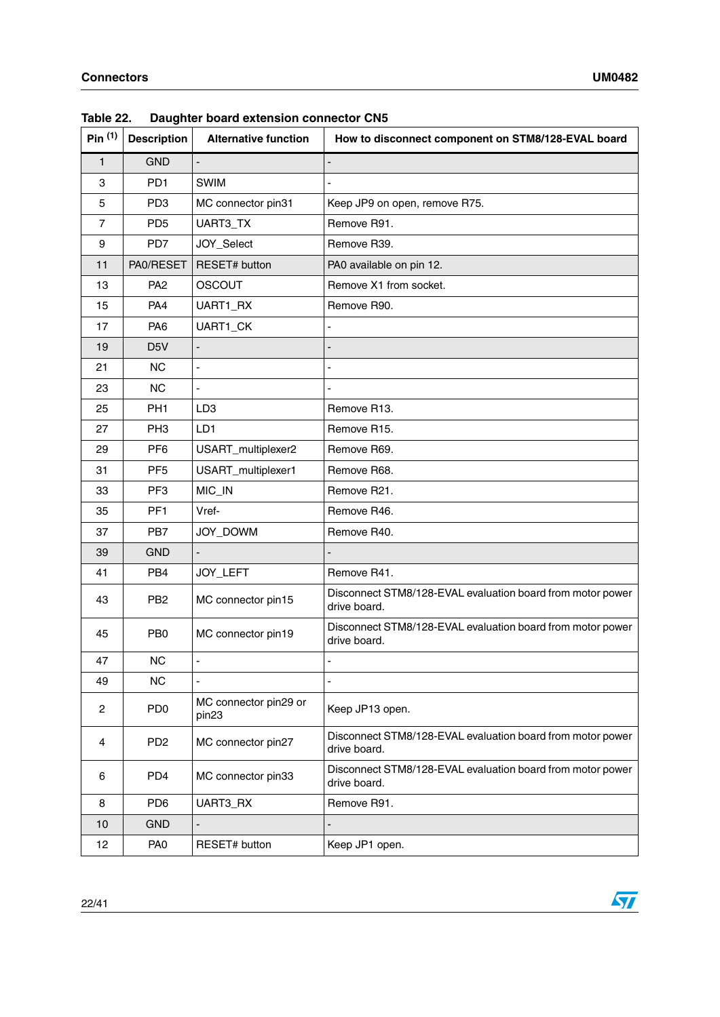| Pin <sup>(1)</sup> | <b>Description</b> | <b>Alternative function</b>                | How to disconnect component on STM8/128-EVAL board                         |
|--------------------|--------------------|--------------------------------------------|----------------------------------------------------------------------------|
| $\mathbf{1}$       | <b>GND</b>         |                                            |                                                                            |
| 3                  | PD <sub>1</sub>    | <b>SWIM</b>                                |                                                                            |
| 5                  | PD <sub>3</sub>    | MC connector pin31                         | Keep JP9 on open, remove R75.                                              |
| $\overline{7}$     | PD <sub>5</sub>    | UART3_TX                                   | Remove R91.                                                                |
| 9                  | PD7                | JOY_Select                                 | Remove R39.                                                                |
| 11                 | PA0/RESET          | RESET# button                              | PA0 available on pin 12.                                                   |
| 13                 | PA <sub>2</sub>    | <b>OSCOUT</b>                              | Remove X1 from socket.                                                     |
| 15                 | PA4                | UART1_RX                                   | Remove R90.                                                                |
| 17                 | PA <sub>6</sub>    | UART1_CK                                   |                                                                            |
| 19                 | D <sub>5</sub> V   | $\overline{a}$                             |                                                                            |
| 21                 | <b>NC</b>          | $\frac{1}{2}$                              |                                                                            |
| 23                 | <b>NC</b>          | $\blacksquare$                             |                                                                            |
| 25                 | PH <sub>1</sub>    | LD <sub>3</sub>                            | Remove R13.                                                                |
| 27                 | PH <sub>3</sub>    | LD1                                        | Remove R15.                                                                |
| 29                 | PF <sub>6</sub>    | USART_multiplexer2                         | Remove R69.                                                                |
| 31                 | PF <sub>5</sub>    | USART_multiplexer1                         | Remove R68.                                                                |
| 33                 | PF <sub>3</sub>    | MIC_IN                                     | Remove R21.                                                                |
| 35                 | PF <sub>1</sub>    | Vref-                                      | Remove R46.                                                                |
| 37                 | PB7                | JOY_DOWM                                   | Remove R40.                                                                |
| 39                 | <b>GND</b>         |                                            |                                                                            |
| 41                 | PB <sub>4</sub>    | JOY_LEFT                                   | Remove R41.                                                                |
| 43                 | PB <sub>2</sub>    | MC connector pin15                         | Disconnect STM8/128-EVAL evaluation board from motor power<br>drive board. |
| 45                 | P <sub>B</sub>     | MC connector pin19                         | Disconnect STM8/128-EVAL evaluation board from motor power<br>drive board. |
| 47                 | <b>NC</b>          | $\overline{\phantom{0}}$                   | ÷,                                                                         |
| 49                 | NC                 |                                            |                                                                            |
| $\overline{c}$     | PD <sub>0</sub>    | MC connector pin29 or<br>pin <sub>23</sub> | Keep JP13 open.                                                            |
| 4                  | PD <sub>2</sub>    | MC connector pin27                         | Disconnect STM8/128-EVAL evaluation board from motor power<br>drive board. |
| 6                  | PD <sub>4</sub>    | MC connector pin33                         | Disconnect STM8/128-EVAL evaluation board from motor power<br>drive board. |
| 8                  | PD <sub>6</sub>    | UART3_RX                                   | Remove R91.                                                                |
| 10                 | <b>GND</b>         |                                            |                                                                            |
| 12                 | PA <sub>0</sub>    | RESET# button                              | Keep JP1 open.                                                             |

<span id="page-21-0"></span>**Table 22. Daughter board extension connector CN5**

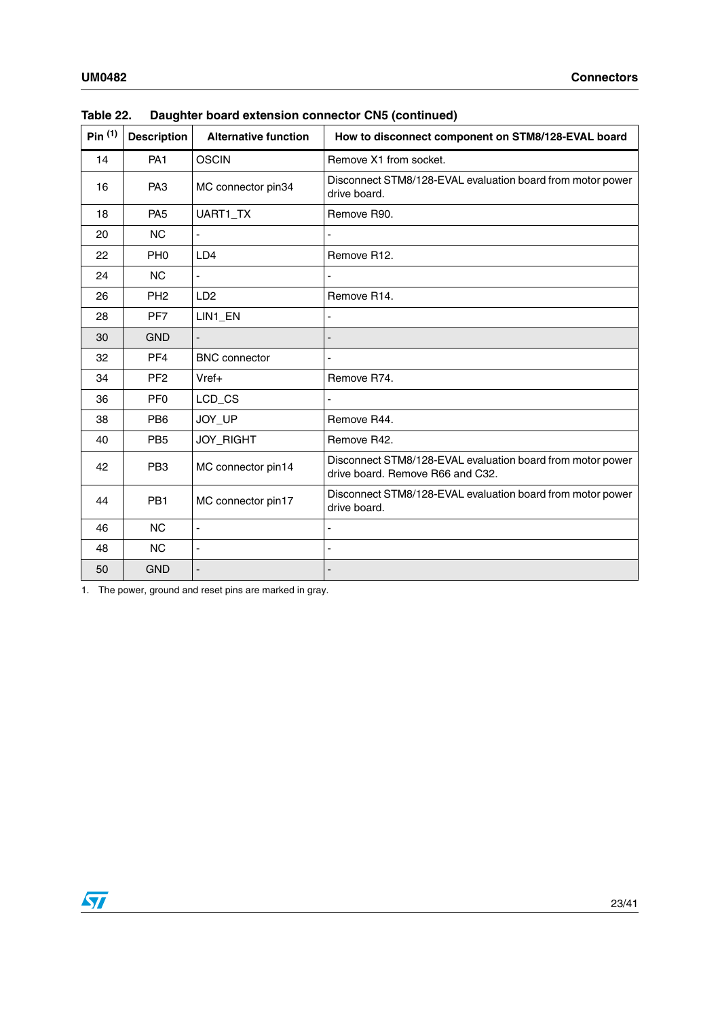| Pin <sup>(1)</sup> | <b>Description</b> | <b>Alternative function</b> | How to disconnect component on STM8/128-EVAL board                                             |
|--------------------|--------------------|-----------------------------|------------------------------------------------------------------------------------------------|
| 14                 | PA <sub>1</sub>    | <b>OSCIN</b>                | Remove X1 from socket.                                                                         |
| 16                 | PA <sub>3</sub>    | MC connector pin34          | Disconnect STM8/128-EVAL evaluation board from motor power<br>drive board.                     |
| 18                 | PA <sub>5</sub>    | UART1_TX                    | Remove R90.                                                                                    |
| 20                 | <b>NC</b>          |                             |                                                                                                |
| 22                 | PH <sub>0</sub>    | LD4                         | Remove R12.                                                                                    |
| 24                 | <b>NC</b>          |                             |                                                                                                |
| 26                 | PH <sub>2</sub>    | LD <sub>2</sub>             | Remove R14.                                                                                    |
| 28                 | PF7                | LIN1_EN                     |                                                                                                |
| 30                 | <b>GND</b>         |                             |                                                                                                |
| 32                 | PF <sub>4</sub>    | <b>BNC</b> connector        |                                                                                                |
| 34                 | PF <sub>2</sub>    | $Vref+$                     | Remove R74.                                                                                    |
| 36                 | PF <sub>0</sub>    | LCD_CS                      |                                                                                                |
| 38                 | PB <sub>6</sub>    | JOY_UP                      | Remove R44.                                                                                    |
| 40                 | PB <sub>5</sub>    | <b>JOY_RIGHT</b>            | Remove R42.                                                                                    |
| 42                 | PB <sub>3</sub>    | MC connector pin14          | Disconnect STM8/128-EVAL evaluation board from motor power<br>drive board. Remove R66 and C32. |
| 44                 | PB <sub>1</sub>    | MC connector pin17          | Disconnect STM8/128-EVAL evaluation board from motor power<br>drive board.                     |
| 46                 | <b>NC</b>          | $\blacksquare$              |                                                                                                |
| 48                 | <b>NC</b>          | $\blacksquare$              |                                                                                                |
| 50                 | <b>GND</b>         |                             |                                                                                                |

| Table 22. | Daughter board extension connector CN5 (continued) |  |
|-----------|----------------------------------------------------|--|
|-----------|----------------------------------------------------|--|

1. The power, ground and reset pins are marked in gray.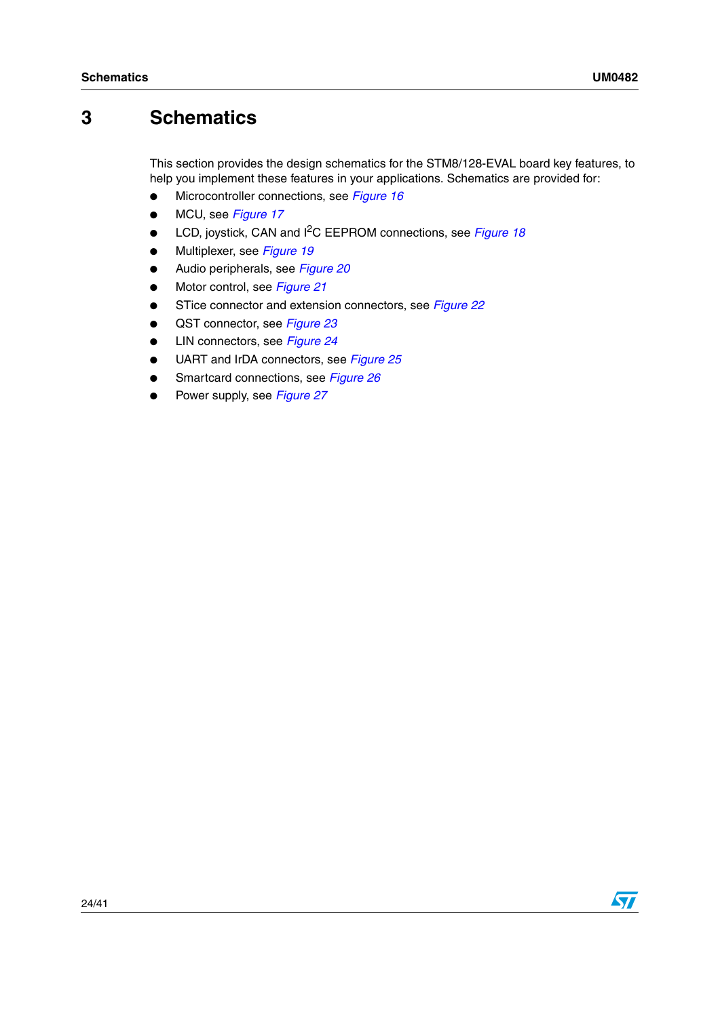# <span id="page-23-0"></span>**3 Schematics**

This section provides the design schematics for the STM8/128-EVAL board key features, to help you implement these features in your applications. Schematics are provided for:

- Microcontroller connections, see *[Figure 16](#page-24-0)*
- MCU, see *[Figure 17](#page-25-0)*
- LCD, joystick, CAN and I<sup>2</sup>C EEPROM connections, see *[Figure 18](#page-26-0)*
- Multiplexer, see *[Figure 19](#page-27-0)*
- Audio peripherals, see *[Figure 20](#page-28-0)*
- Motor control, see *[Figure 21](#page-29-0)*
- STice connector and extension connectors, see *[Figure 22](#page-30-0)*
- QST connector, see *[Figure 23](#page-31-0)*
- LIN connectors, see *[Figure 24](#page-32-0)*
- UART and IrDA connectors, see *[Figure 25](#page-33-0)*
- Smartcard connections, see *[Figure 26](#page-34-0)*
- Power supply, see **[Figure 27](#page-35-0)**

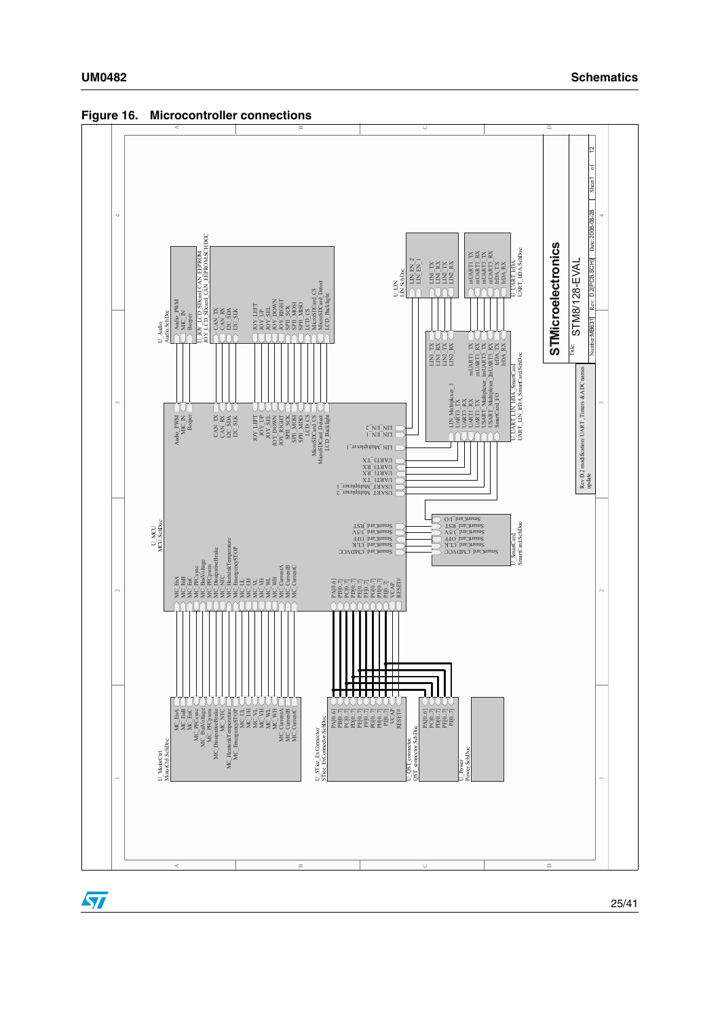

<span id="page-24-0"></span>**Figure 16. Microcontroller connections**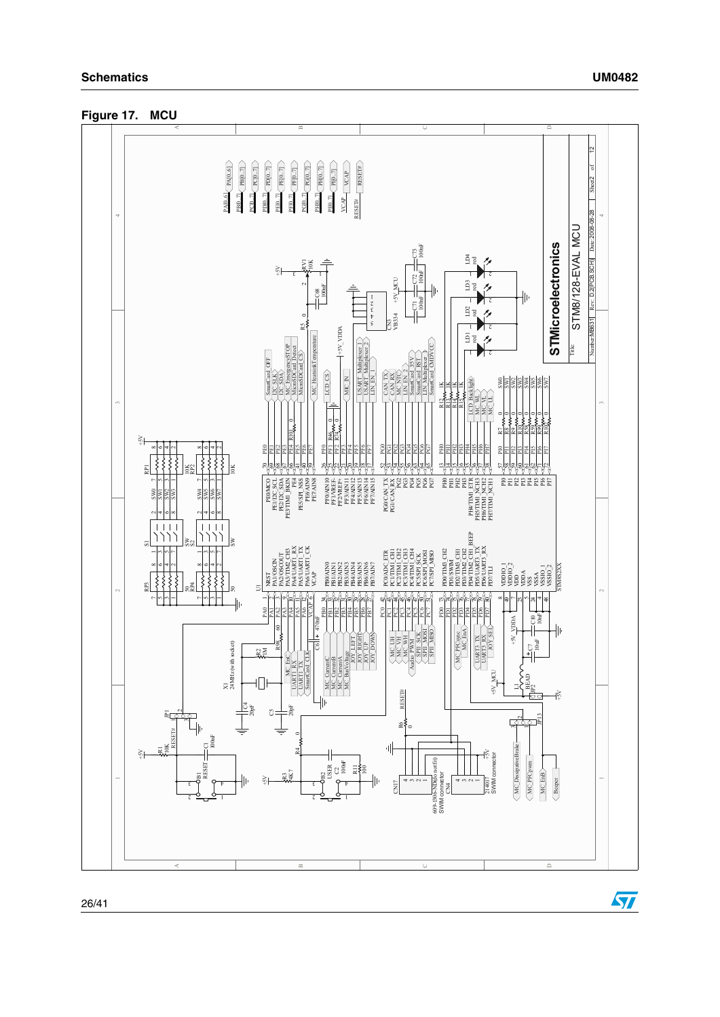<span id="page-25-0"></span>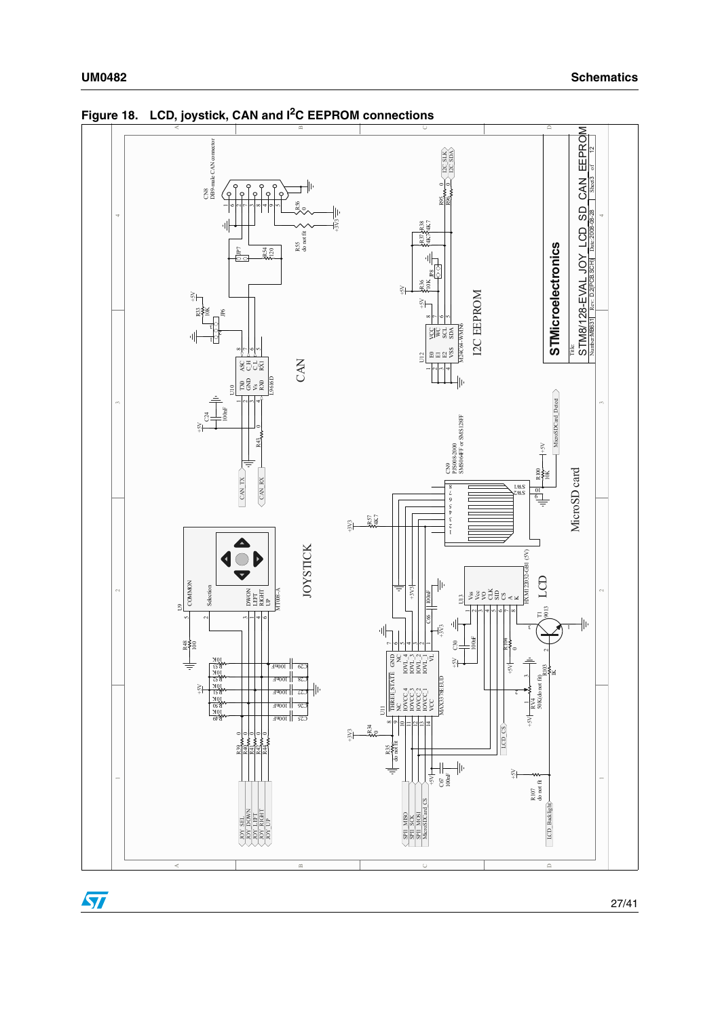

<span id="page-26-0"></span>**Figure 18. LCD, joystick, CAN and I2C EEPROM connections**

27/41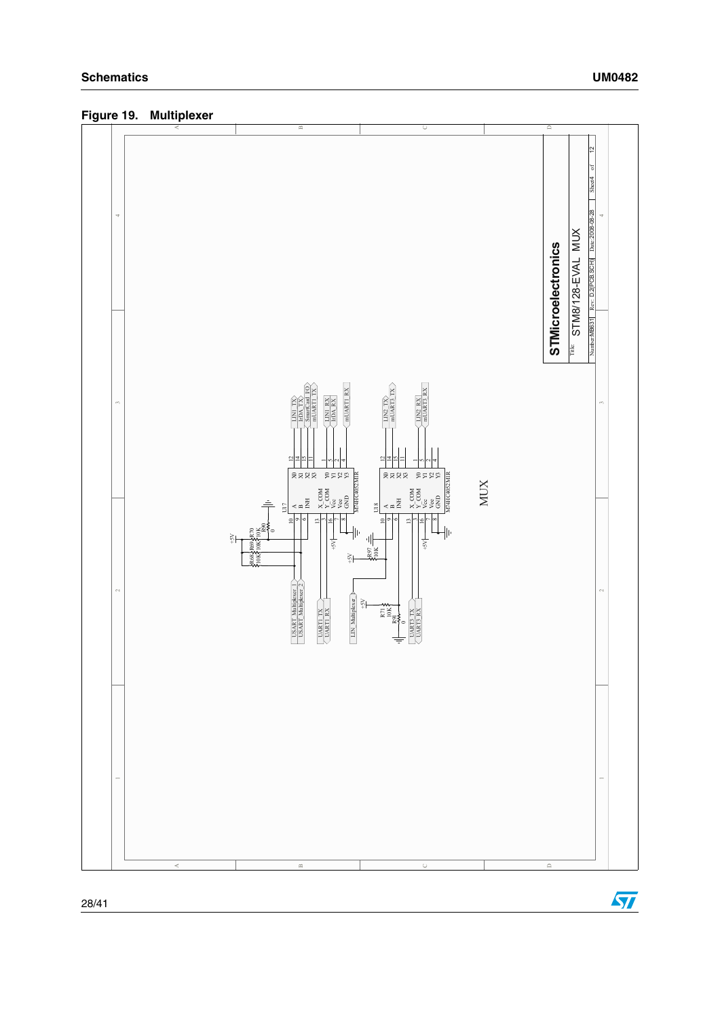

<span id="page-27-0"></span>**Figure 19. Multiplexer**

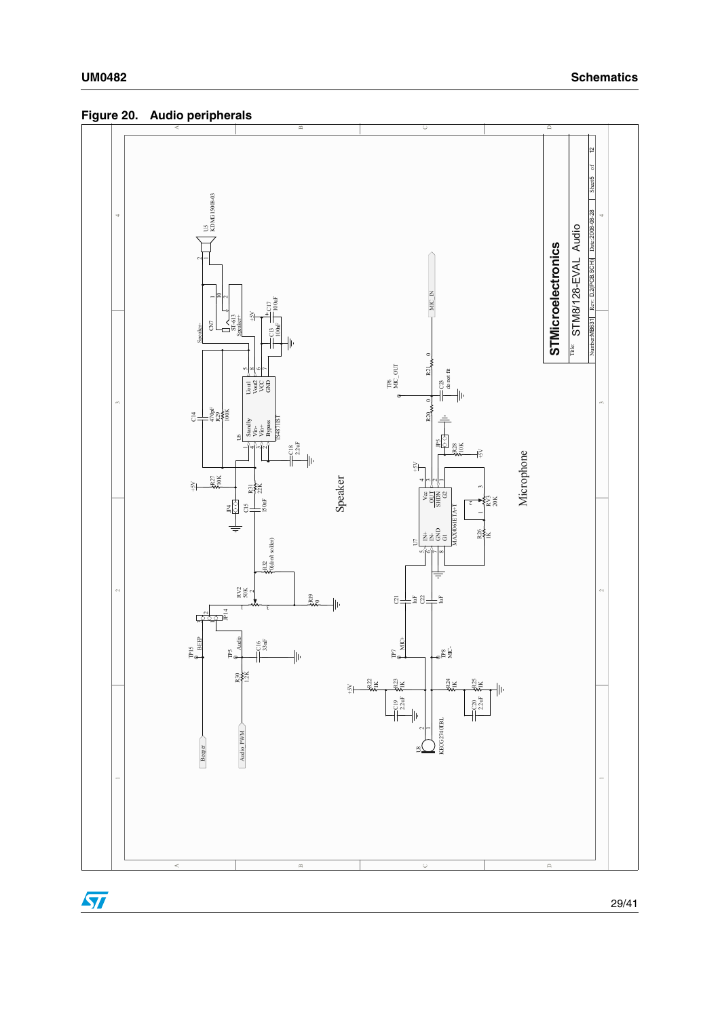<span id="page-28-0"></span>**Figure 20. Audio peripherals**

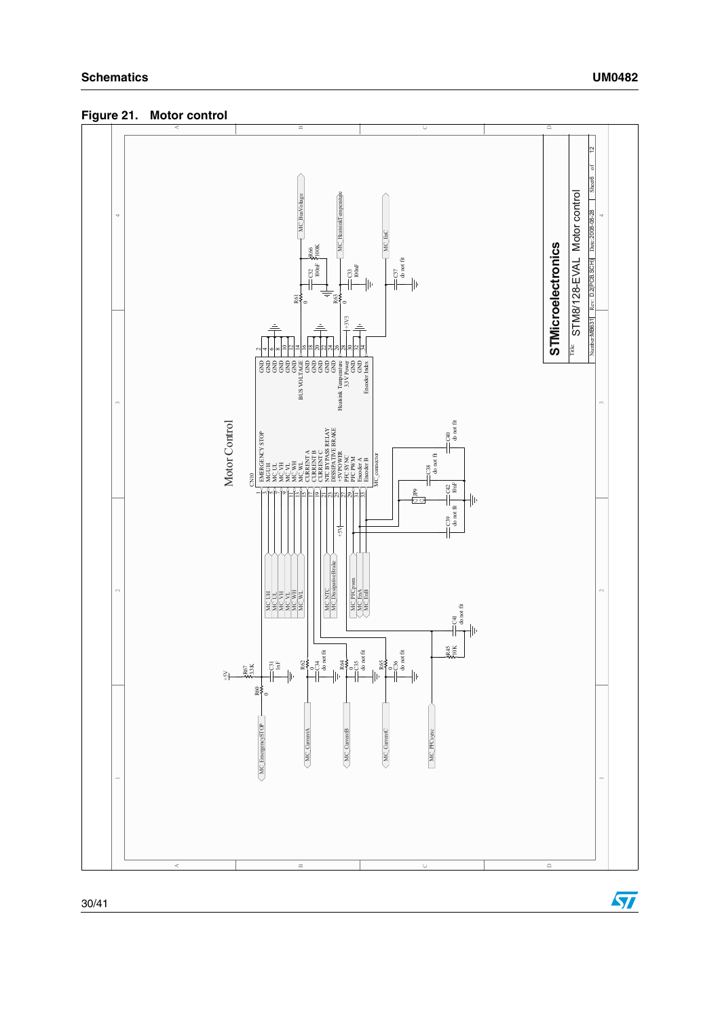<span id="page-29-0"></span>**Figure 21. Motor control**



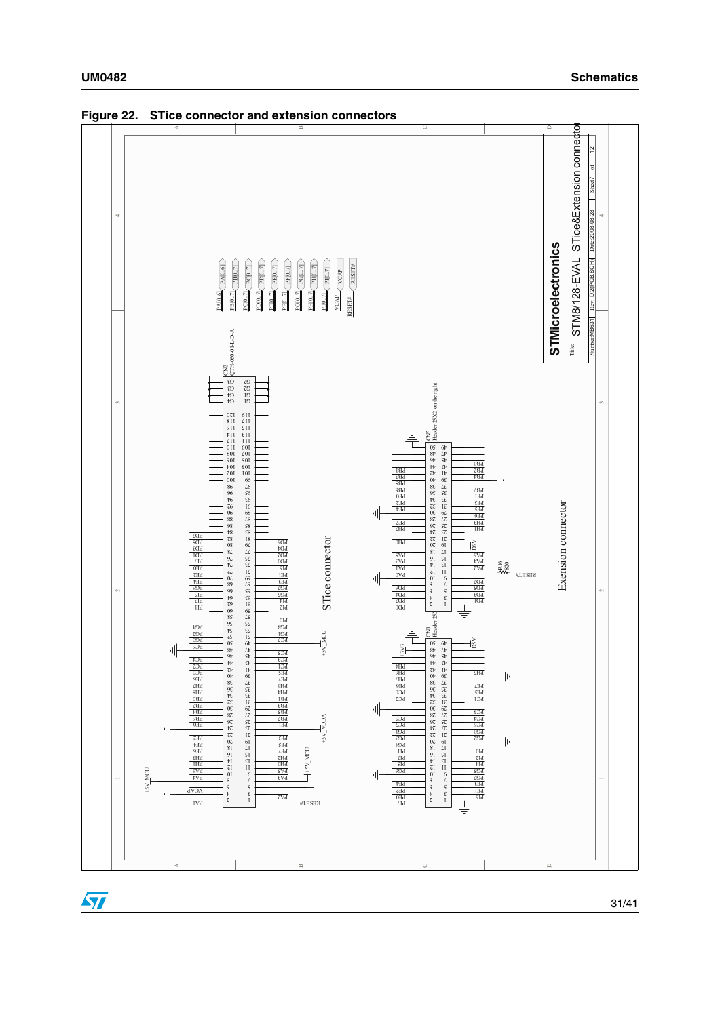

<span id="page-30-0"></span>**Figure 22. STice connector and extension connectors**



31/41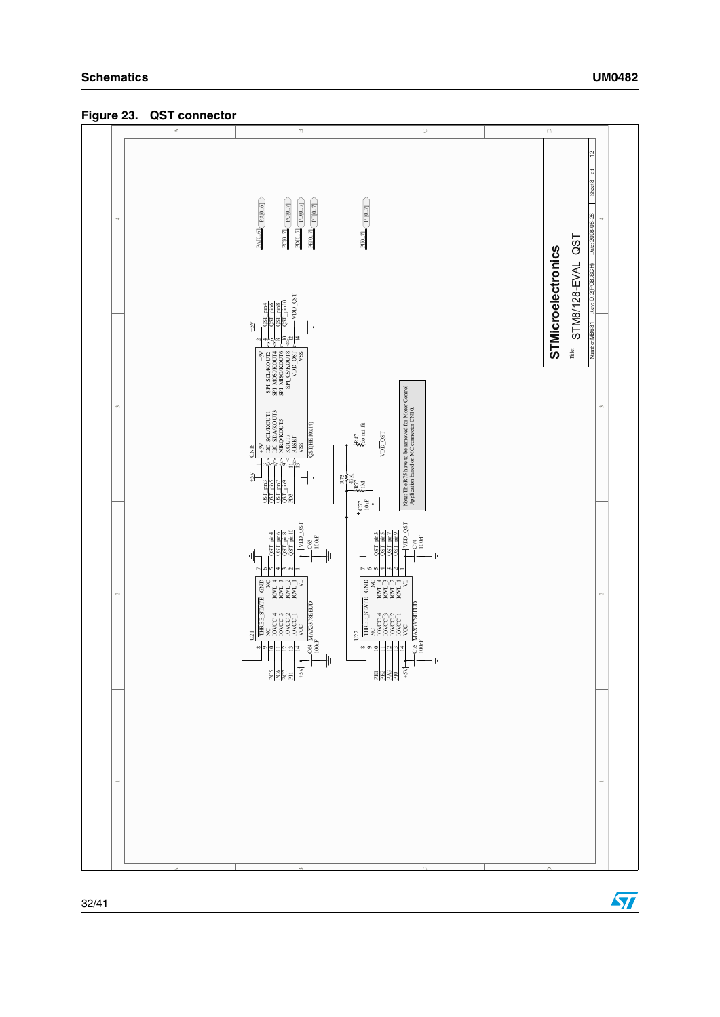<span id="page-31-0"></span>



A



D

C

B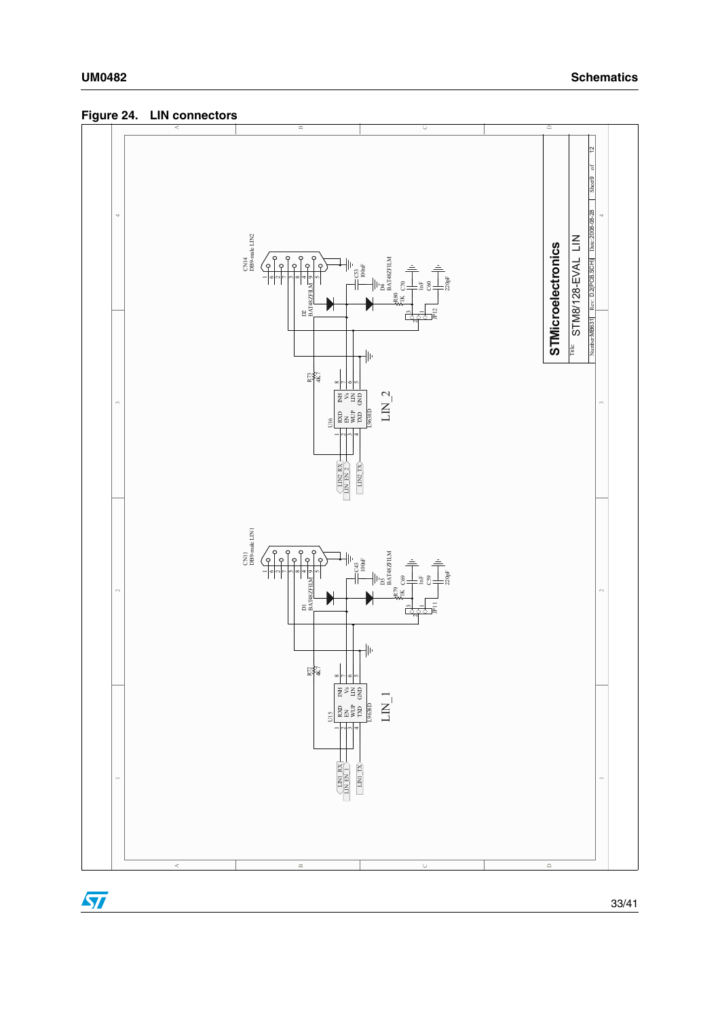<span id="page-32-0"></span>**Figure 24. LIN connectors**

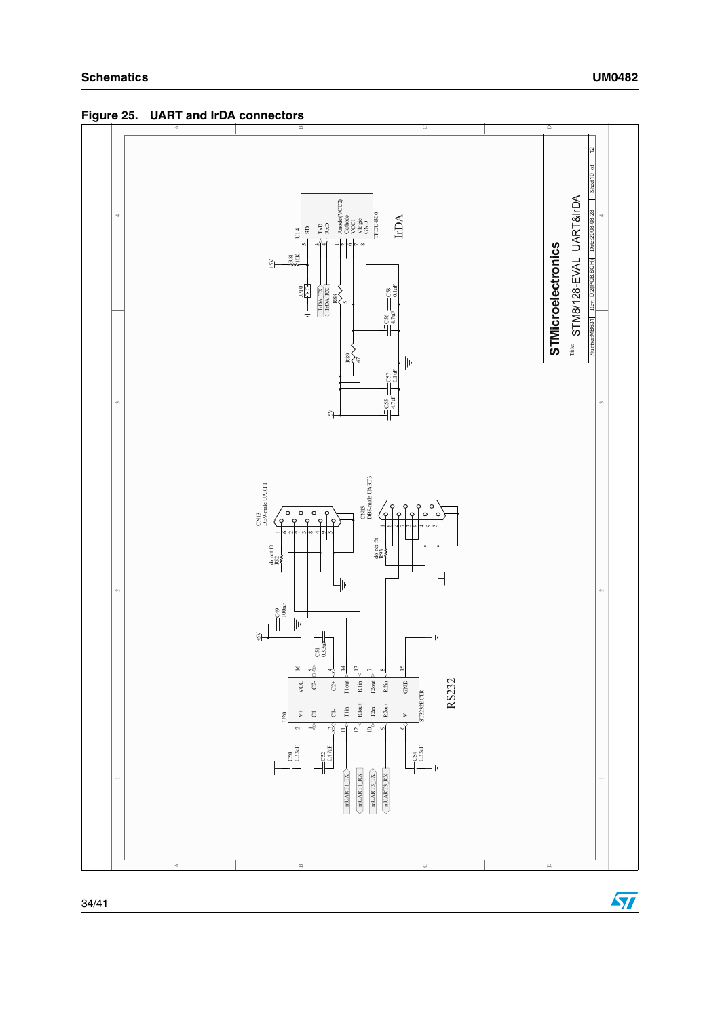<span id="page-33-0"></span>**Figure 25. UART and IrDA connectors**



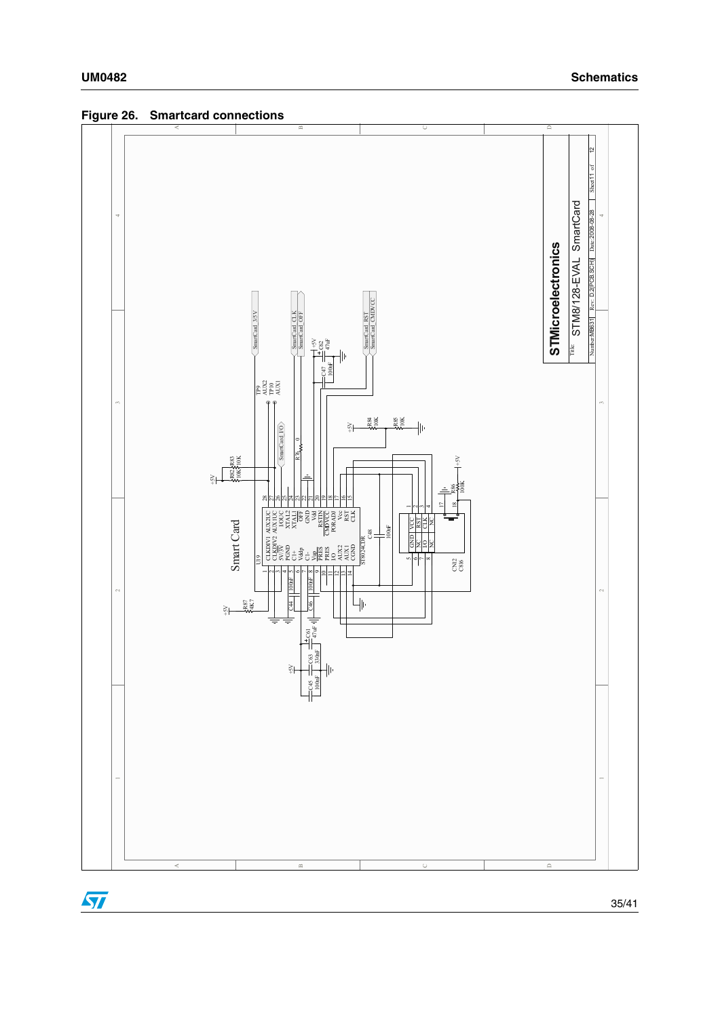<span id="page-34-0"></span>



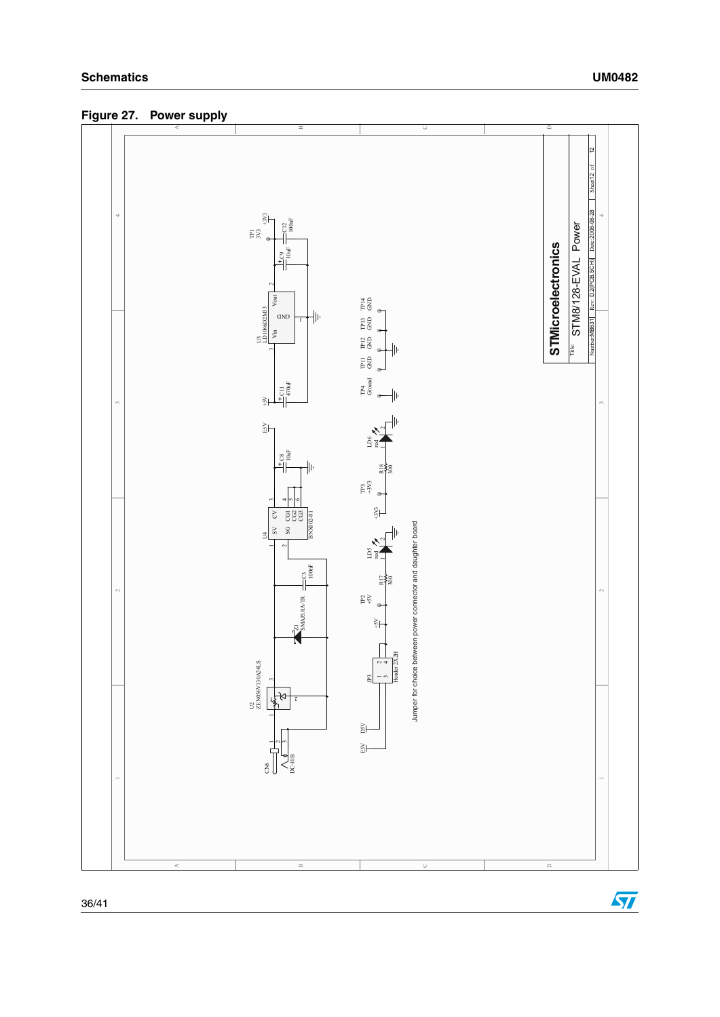<span id="page-35-0"></span>**Figure 27. Power supply**

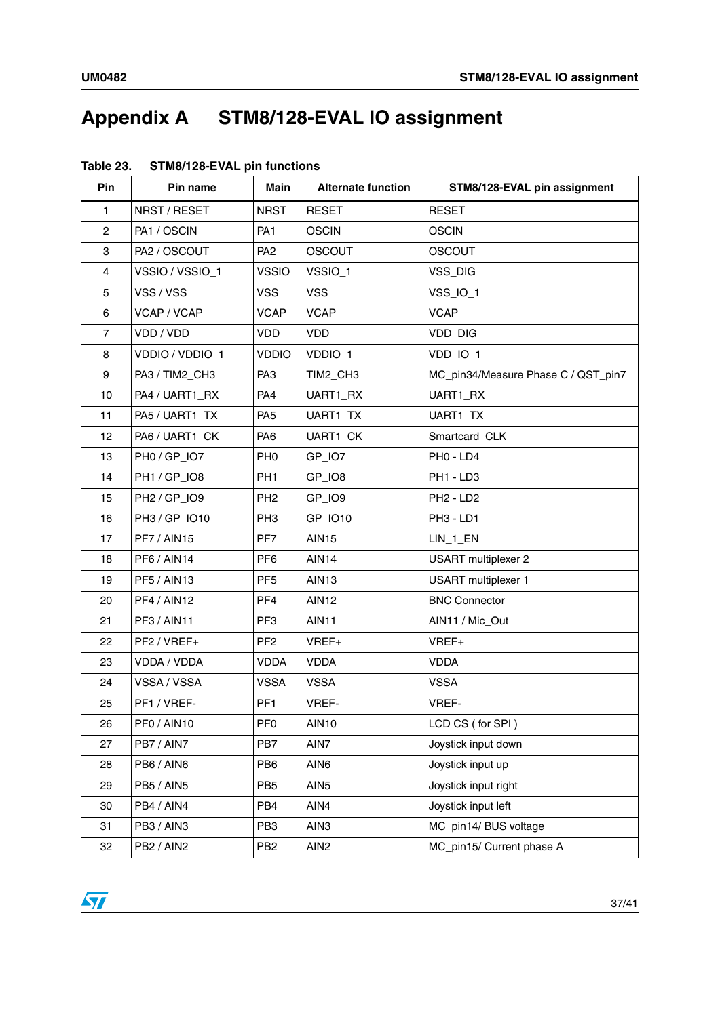# <span id="page-36-0"></span>**Appendix A STM8/128-EVAL IO assignment**

| Pin            | Pin name           | Main            | <b>Alternate function</b> | STM8/128-EVAL pin assignment        |
|----------------|--------------------|-----------------|---------------------------|-------------------------------------|
| $\mathbf{1}$   | NRST / RESET       | <b>NRST</b>     | <b>RESET</b>              | <b>RESET</b>                        |
| $\mathbf{2}$   | PA1 / OSCIN        | PA <sub>1</sub> | <b>OSCIN</b>              | <b>OSCIN</b>                        |
| 3              | PA2 / OSCOUT       | PA <sub>2</sub> | OSCOUT                    | <b>OSCOUT</b>                       |
| 4              | VSSIO / VSSIO_1    | <b>VSSIO</b>    | VSSIO_1                   | VSS_DIG                             |
| 5              | VSS / VSS          | <b>VSS</b>      | <b>VSS</b>                | VSS_IO_1                            |
| 6              | VCAP / VCAP        | <b>VCAP</b>     | <b>VCAP</b>               | <b>VCAP</b>                         |
| $\overline{7}$ | VDD / VDD          | <b>VDD</b>      | VDD                       | VDD_DIG                             |
| 8              | VDDIO / VDDIO_1    | <b>VDDIO</b>    | VDDIO_1                   | VDD_IO_1                            |
| 9              | PA3 / TIM2_CH3     | PA <sub>3</sub> | TIM2_CH3                  | MC_pin34/Measure Phase C / QST_pin7 |
| 10             | PA4 / UART1_RX     | PA4             | UART1_RX                  | UART1_RX                            |
| 11             | PA5 / UART1_TX     | PA <sub>5</sub> | UART1_TX                  | UART1_TX                            |
| 12             | PA6 / UART1_CK     | PA <sub>6</sub> | UART1_CK                  | Smartcard_CLK                       |
| 13             | PH0 / GP_IO7       | PH <sub>0</sub> | GP_IO7                    | PHO - LD4                           |
| 14             | PH1 / GP_IO8       | PH <sub>1</sub> | GP_IO8                    | PH1 - LD3                           |
| 15             | PH2 / GP_IO9       | PH <sub>2</sub> | GP_IO9                    | PH <sub>2</sub> - LD <sub>2</sub>   |
| 16             | PH3 / GP_IO10      | PH <sub>3</sub> | GP_IO10                   | PH <sub>3</sub> - LD <sub>1</sub>   |
| 17             | PF7/AIN15          | PF7             | <b>AIN15</b>              | $LIN_1$ _EN                         |
| 18             | PF6 / AIN14        | PF <sub>6</sub> | <b>AIN14</b>              | <b>USART</b> multiplexer 2          |
| 19             | PF5 / AIN13        | PF <sub>5</sub> | <b>AIN13</b>              | <b>USART</b> multiplexer 1          |
| 20             | <b>PF4 / AIN12</b> | PF4             | AIN12                     | <b>BNC Connector</b>                |
| 21             | PF3 / AIN11        | PF <sub>3</sub> | <b>AIN11</b>              | AIN11 / Mic_Out                     |
| 22             | $PF2 / VREF+$      | PF <sub>2</sub> | VREF+                     | VREF+                               |
| 23             | VDDA / VDDA        | <b>VDDA</b>     | <b>VDDA</b>               | <b>VDDA</b>                         |
| 24             | VSSA / VSSA        | <b>VSSA</b>     | <b>VSSA</b>               | <b>VSSA</b>                         |
| 25             | PF1 / VREF-        | PF <sub>1</sub> | VREF-                     | VREF-                               |
| 26             | PF0/AIN10          | PF <sub>0</sub> | <b>AIN10</b>              | LCD CS (for SPI)                    |
| 27             | PB7 / AIN7         | PB7             | AIN7                      | Joystick input down                 |
| 28             | PB6 / AIN6         | PB <sub>6</sub> | AIN6                      | Joystick input up                   |
| 29             | PB5 / AIN5         | PB <sub>5</sub> | AIN <sub>5</sub>          | Joystick input right                |
| 30             | PB4 / AIN4         | PB4             | AIN4                      | Joystick input left                 |
| 31             | PB3 / AIN3         | PB <sub>3</sub> | AIN3                      | MC_pin14/ BUS voltage               |
| 32             | PB2 / AIN2         | PB <sub>2</sub> | AIN <sub>2</sub>          | MC_pin15/ Current phase A           |

<span id="page-36-1"></span>

| Table 23. | <b>STM8/128-EVAL pin functions</b> |  |
|-----------|------------------------------------|--|
|-----------|------------------------------------|--|

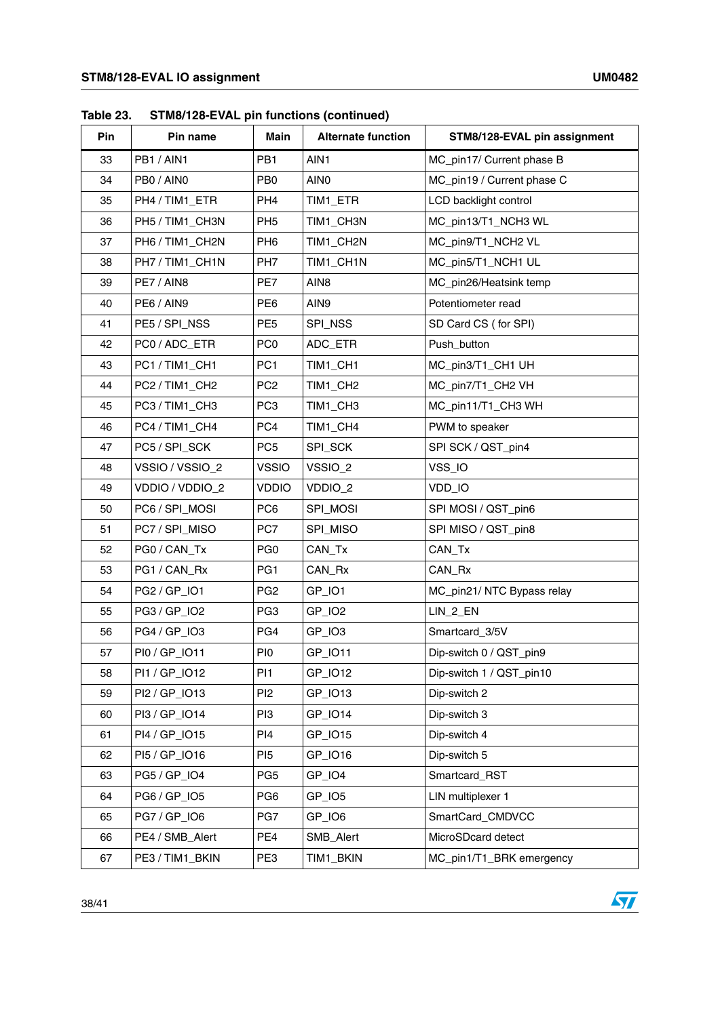| Pin | Pin name        | Main            | <b>Alternate function</b> | STM8/128-EVAL pin assignment |
|-----|-----------------|-----------------|---------------------------|------------------------------|
| 33  | PB1 / AIN1      | PB <sub>1</sub> | AIN1                      | MC_pin17/ Current phase B    |
| 34  | PB0 / AINO      | PB <sub>0</sub> | AIN <sub>0</sub>          | MC_pin19 / Current phase C   |
| 35  | PH4 / TIM1_ETR  | PH <sub>4</sub> | TIM1_ETR                  | LCD backlight control        |
| 36  | PH5 / TIM1_CH3N | PH <sub>5</sub> | TIM1_CH3N                 | MC_pin13/T1_NCH3 WL          |
| 37  | PH6 / TIM1_CH2N | PH <sub>6</sub> | TIM1_CH2N                 | MC_pin9/T1_NCH2 VL           |
| 38  | PH7 / TIM1_CH1N | PH <sub>7</sub> | TIM1_CH1N                 | MC_pin5/T1_NCH1 UL           |
| 39  | PE7 / AIN8      | PE7             | AIN <sub>8</sub>          | MC_pin26/Heatsink temp       |
| 40  | PE6 / AIN9      | PE <sub>6</sub> | AIN9                      | Potentiometer read           |
| 41  | PE5 / SPI_NSS   | PE <sub>5</sub> | SPI_NSS                   | SD Card CS (for SPI)         |
| 42  | PC0 / ADC_ETR   | PC <sub>0</sub> | ADC_ETR                   | Push_button                  |
| 43  | PC1 / TIM1_CH1  | PC <sub>1</sub> | TIM1_CH1                  | MC_pin3/T1_CH1 UH            |
| 44  | PC2 / TIM1_CH2  | PC <sub>2</sub> | TIM1_CH2                  | MC_pin7/T1_CH2 VH            |
| 45  | PC3 / TIM1_CH3  | PC <sub>3</sub> | TIM1_CH3                  | MC_pin11/T1_CH3 WH           |
| 46  | PC4 / TIM1_CH4  | PC4             | TIM1_CH4                  | PWM to speaker               |
| 47  | PC5 / SPI_SCK   | PC <sub>5</sub> | SPI_SCK                   | SPI SCK / QST_pin4           |
| 48  | VSSIO / VSSIO_2 | <b>VSSIO</b>    | VSSIO_2                   | VSS_IO                       |
| 49  | VDDIO / VDDIO_2 | <b>VDDIO</b>    | VDDIO_2                   | VDD_IO                       |
| 50  | PC6 / SPI_MOSI  | PC <sub>6</sub> | SPI_MOSI                  | SPI MOSI / QST_pin6          |
| 51  | PC7 / SPI_MISO  | PC7             | SPI_MISO                  | SPI MISO / QST_pin8          |
| 52  | PG0 / CAN_Tx    | PG <sub>0</sub> | CAN_Tx                    | CAN_Tx                       |
| 53  | PG1 / CAN_Rx    | PG <sub>1</sub> | CAN_Rx                    | CAN_Rx                       |
| 54  | PG2 / GP_IO1    | PG <sub>2</sub> | GP_IO1                    | MC_pin21/ NTC Bypass relay   |
| 55  | PG3 / GP_IO2    | PG <sub>3</sub> | GP_IO2                    | LIN_2_EN                     |
| 56  | PG4 / GP_IO3    | PG4             | GP_IO3                    | Smartcard_3/5V               |
| 57  | PI0 / GP_IO11   | PI <sub>0</sub> | GP_IO11                   | Dip-switch 0 / QST_pin9      |
| 58  | PI1 / GP_IO12   | PI <sub>1</sub> | GP_IO12                   | Dip-switch 1 / QST_pin10     |
| 59  | PI2 / GP_IO13   | P <sub>12</sub> | GP_IO13                   | Dip-switch 2                 |
| 60  | PI3 / GP_IO14   | PI3             | GP_IO14                   | Dip-switch 3                 |
| 61  | PI4 / GP_IO15   | PI <sub>4</sub> | GP_IO15                   | Dip-switch 4                 |
| 62  | PI5 / GP_IO16   | PI <sub>5</sub> | GP_IO16                   | Dip-switch 5                 |
| 63  | PG5 / GP_IO4    | PG <sub>5</sub> | GP_IO4                    | Smartcard_RST                |
| 64  | PG6 / GP_IO5    | PG <sub>6</sub> | GP_IO5                    | LIN multiplexer 1            |
| 65  | PG7 / GP_IO6    | PG7             | GP_IO6                    | SmartCard_CMDVCC             |
| 66  | PE4 / SMB_Alert | PE4             | SMB_Alert                 | MicroSDcard detect           |
| 67  | PE3 / TIM1_BKIN | PE3             | TIM1_BKIN                 | MC_pin1/T1_BRK emergency     |

**Table 23. STM8/128-EVAL pin functions (continued)**

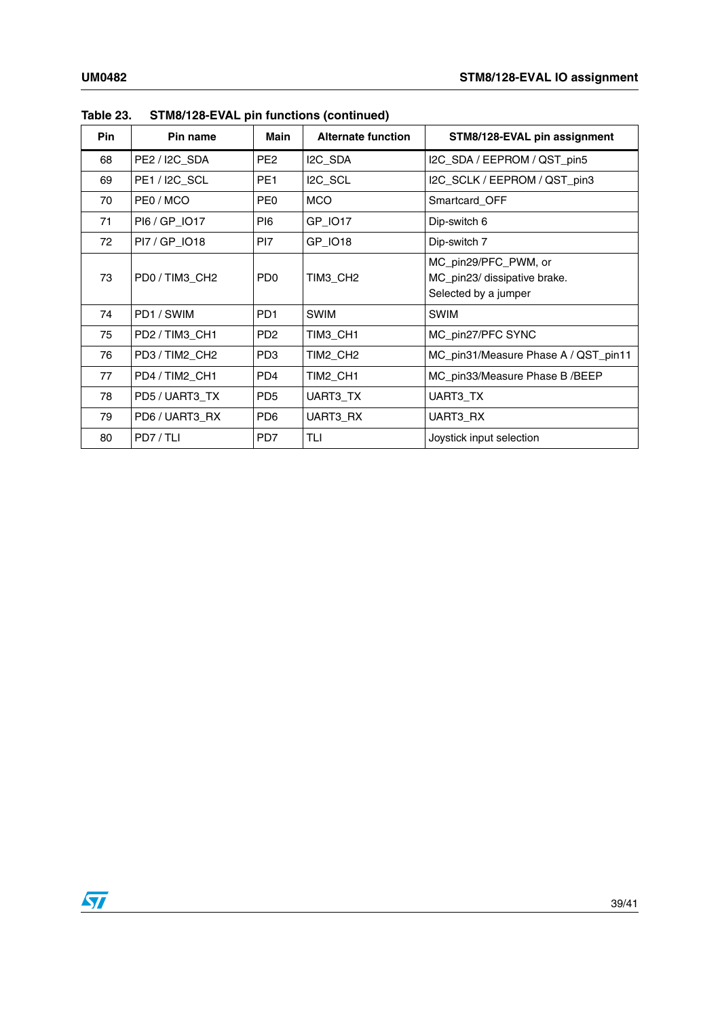| <b>Pin</b> | Pin name       | Main            | <b>Alternate function</b> | STM8/128-EVAL pin assignment                                                 |
|------------|----------------|-----------------|---------------------------|------------------------------------------------------------------------------|
| 68         | PE2 / I2C_SDA  | PE <sub>2</sub> | I2C_SDA                   | I2C_SDA / EEPROM / QST_pin5                                                  |
| 69         | PE1/I2C SCL    | PE1             | I <sub>2C</sub> SCL       | I2C_SCLK / EEPROM / QST_pin3                                                 |
| 70         | PE0 / MCO      | PE0             | <b>MCO</b>                | Smartcard OFF                                                                |
| 71         | PI6 / GP_IO17  | PI6             | GP_IO17                   | Dip-switch 6                                                                 |
| 72         | PI7 / GP_IO18  | PI7             | GP_IO18                   | Dip-switch 7                                                                 |
| 73         | PD0 / TIM3_CH2 | PD <sub>0</sub> | TIM3 CH2                  | MC_pin29/PFC_PWM, or<br>MC_pin23/ dissipative brake.<br>Selected by a jumper |
| 74         | PD1/SWIM       | PD <sub>1</sub> | <b>SWIM</b>               | <b>SWIM</b>                                                                  |
| 75         | PD2 / TIM3_CH1 | PD <sub>2</sub> | TIM3_CH1                  | MC_pin27/PFC SYNC                                                            |
| 76         | PD3 / TIM2_CH2 | PD3             | TIM2_CH2                  | MC_pin31/Measure Phase A / QST_pin11                                         |
| 77         | PD4/TIM2 CH1   | PD4             | TIM2_CH1                  | MC_pin33/Measure Phase B /BEEP                                               |
| 78         | PD5 / UART3 TX | PD <sub>5</sub> | UART3 TX                  | UART3_TX                                                                     |
| 79         | PD6 / UART3_RX | PD <sub>6</sub> | UART3_RX                  | UART3_RX                                                                     |
| 80         | PD7/TLI        | PD7             | TLI                       | Joystick input selection                                                     |

**Table 23. STM8/128-EVAL pin functions (continued)**

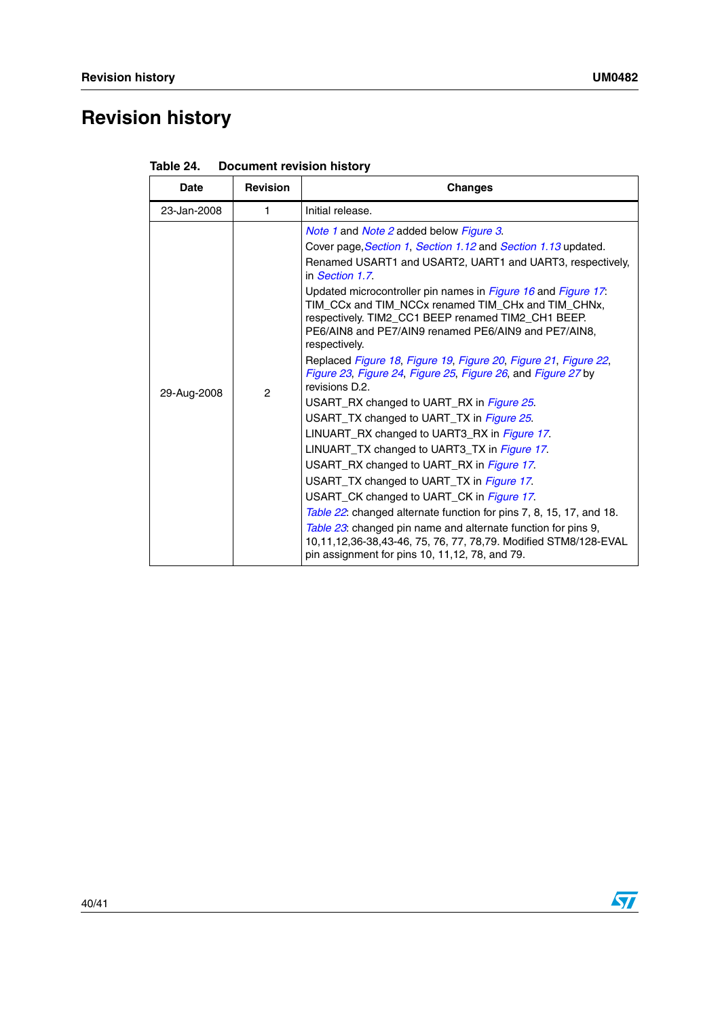# <span id="page-39-0"></span>**Revision history**

| <b>Date</b> | <b>Revision</b> | <b>Changes</b>                                                                                                                                                                                                                                                                                                                                                                                                                                                                                                                                                                                                                                                                                                                                                                                                                                                                                                                                                                                                                                                                                                                                                                                                                         |  |
|-------------|-----------------|----------------------------------------------------------------------------------------------------------------------------------------------------------------------------------------------------------------------------------------------------------------------------------------------------------------------------------------------------------------------------------------------------------------------------------------------------------------------------------------------------------------------------------------------------------------------------------------------------------------------------------------------------------------------------------------------------------------------------------------------------------------------------------------------------------------------------------------------------------------------------------------------------------------------------------------------------------------------------------------------------------------------------------------------------------------------------------------------------------------------------------------------------------------------------------------------------------------------------------------|--|
| 23-Jan-2008 | 1.              | Initial release.                                                                                                                                                                                                                                                                                                                                                                                                                                                                                                                                                                                                                                                                                                                                                                                                                                                                                                                                                                                                                                                                                                                                                                                                                       |  |
| 29-Aug-2008 | $\overline{c}$  | <i>Note 1</i> and <i>Note 2</i> added below <i>Figure 3</i> .<br>Cover page, Section 1, Section 1.12 and Section 1.13 updated.<br>Renamed USART1 and USART2, UART1 and UART3, respectively.<br>in <i>Section 1.7</i><br>Updated microcontroller pin names in Figure 16 and Figure 17.<br>TIM_CCx and TIM_NCCx renamed TIM_CHx and TIM_CHNx,<br>respectively. TIM2 CC1 BEEP renamed TIM2 CH1 BEEP.<br>PE6/AIN8 and PE7/AIN9 renamed PE6/AIN9 and PE7/AIN8,<br>respectively.<br>Replaced Figure 18, Figure 19, Figure 20, Figure 21, Figure 22,<br>Figure 23, Figure 24, Figure 25, Figure 26, and Figure 27 by<br>revisions D.2.<br>USART_RX changed to UART_RX in <i>Figure 25</i> .<br>USART TX changed to UART TX in Figure 25.<br>LINUART_RX changed to UART3_RX in Figure 17.<br>LINUART_TX changed to UART3_TX in Figure 17.<br>USART_RX changed to UART_RX in Figure 17.<br>USART TX changed to UART TX in Figure 17.<br>USART_CK changed to UART_CK in Figure 17.<br>Table 22: changed alternate function for pins 7, 8, 15, 17, and 18.<br>Table 23: changed pin name and alternate function for pins 9,<br>10,11,12,36-38,43-46, 75, 76, 77, 78,79. Modified STM8/128-EVAL<br>pin assignment for pins 10, 11, 12, 78, and 79. |  |

| Table 24. | <b>Document revision history</b> |  |
|-----------|----------------------------------|--|
|           |                                  |  |